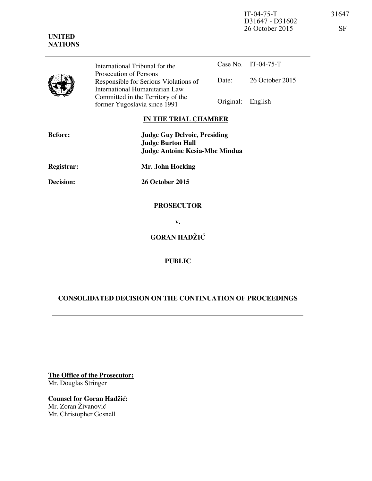| International Tribunal for the        |                   | Case No. IT-04-75-T |
|---------------------------------------|-------------------|---------------------|
| Prosecution of Persons                |                   |                     |
| Responsible for Serious Violations of | Date:             | 26 October 2015     |
| International Humanitarian Law        |                   |                     |
| Committed in the Territory of the     |                   |                     |
| former Yugoslavia since 1991          | Original: English |                     |

# **IN THE TRIAL CHAMBER**

| <b>Before:</b>   | <b>Judge Guy Delvoie, Presiding</b><br><b>Judge Burton Hall</b><br><b>Judge Antoine Kesia-Mbe Mindua</b> |
|------------------|----------------------------------------------------------------------------------------------------------|
| Registrar:       | Mr. John Hocking                                                                                         |
| <b>Decision:</b> | <b>26 October 2015</b>                                                                                   |
|                  | <b>PROSECUTOR</b>                                                                                        |
|                  | v.                                                                                                       |
|                  | <b>GORAN HADŽIĆ</b>                                                                                      |

**PUBLIC** 

# **CONSOLIDATED DECISION ON THE CONTINUATION OF PROCEEDINGS**

**The Office of the Prosecutor:** Mr. Douglas Stringer

**Counsel for Goran Hadžić:** 

Mr. Zoran Živanović Mr. Christopher Gosnell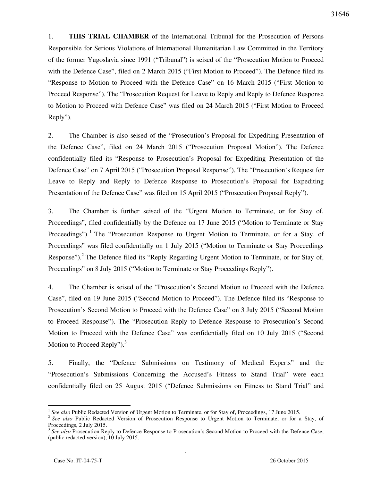1. **THIS TRIAL CHAMBER** of the International Tribunal for the Prosecution of Persons Responsible for Serious Violations of International Humanitarian Law Committed in the Territory of the former Yugoslavia since 1991 ("Tribunal") is seised of the "Prosecution Motion to Proceed with the Defence Case", filed on 2 March 2015 ("First Motion to Proceed"). The Defence filed its "Response to Motion to Proceed with the Defence Case" on 16 March 2015 ("First Motion to Proceed Response"). The "Prosecution Request for Leave to Reply and Reply to Defence Response to Motion to Proceed with Defence Case" was filed on 24 March 2015 ("First Motion to Proceed Reply").

2. The Chamber is also seised of the "Prosecution's Proposal for Expediting Presentation of the Defence Case", filed on 24 March 2015 ("Prosecution Proposal Motion"). The Defence confidentially filed its "Response to Prosecution's Proposal for Expediting Presentation of the Defence Case" on 7 April 2015 ("Prosecution Proposal Response"). The "Prosecution's Request for Leave to Reply and Reply to Defence Response to Prosecution's Proposal for Expediting Presentation of the Defence Case" was filed on 15 April 2015 ("Prosecution Proposal Reply").

3. The Chamber is further seised of the "Urgent Motion to Terminate, or for Stay of, Proceedings", filed confidentially by the Defence on 17 June 2015 ("Motion to Terminate or Stay Proceedings").<sup>1</sup> The "Prosecution Response to Urgent Motion to Terminate, or for a Stay, of Proceedings" was filed confidentially on 1 July 2015 ("Motion to Terminate or Stay Proceedings Response").<sup>2</sup> The Defence filed its "Reply Regarding Urgent Motion to Terminate, or for Stay of, Proceedings" on 8 July 2015 ("Motion to Terminate or Stay Proceedings Reply").

4. The Chamber is seised of the "Prosecution's Second Motion to Proceed with the Defence Case", filed on 19 June 2015 ("Second Motion to Proceed"). The Defence filed its "Response to Prosecution's Second Motion to Proceed with the Defence Case" on 3 July 2015 ("Second Motion to Proceed Response"). The "Prosecution Reply to Defence Response to Prosecution's Second Motion to Proceed with the Defence Case" was confidentially filed on 10 July 2015 ("Second Motion to Proceed Reply").<sup>3</sup>

5. Finally, the "Defence Submissions on Testimony of Medical Experts" and the "Prosecution's Submissions Concerning the Accused's Fitness to Stand Trial" were each confidentially filed on 25 August 2015 ("Defence Submissions on Fitness to Stand Trial" and

<sup>1</sup> *See also* Public Redacted Version of Urgent Motion to Terminate, or for Stay of, Proceedings, 17 June 2015.

<sup>&</sup>lt;sup>2</sup> See also Public Redacted Version of Prosecution Response to Urgent Motion to Terminate, or for a Stay, of Proceedings, 2 July 2015.

<sup>&</sup>lt;sup>3</sup> See also Prosecution Reply to Defence Response to Prosecution's Second Motion to Proceed with the Defence Case, (public redacted version), 10 July 2015.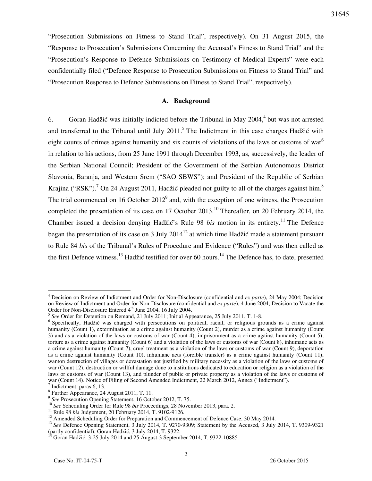31645

"Prosecution Submissions on Fitness to Stand Trial", respectively). On 31 August 2015, the "Response to Prosecution's Submissions Concerning the Accused's Fitness to Stand Trial" and the "Prosecution's Response to Defence Submissions on Testimony of Medical Experts" were each confidentially filed ("Defence Response to Prosecution Submissions on Fitness to Stand Trial" and "Prosecution Response to Defence Submissions on Fitness to Stand Trial", respectively).

# **A. Background**

6. Goran Hadžić was initially indicted before the Tribunal in May  $2004$ ,<sup>4</sup> but was not arrested and transferred to the Tribunal until July  $2011$ .<sup>5</sup> The Indictment in this case charges Hadžić with eight counts of crimes against humanity and six counts of violations of the laws or customs of war $<sup>6</sup>$ </sup> in relation to his actions, from 25 June 1991 through December 1993, as, successively, the leader of the Serbian National Council; President of the Government of the Serbian Autonomous District Slavonia, Baranja, and Western Srem ("SAO SBWS"); and President of the Republic of Serbian Krajina ("RSK").<sup>7</sup> On 24 August 2011, Hadžić pleaded not guilty to all of the charges against him.<sup>8</sup> The trial commenced on 16 October  $2012<sup>9</sup>$  and, with the exception of one witness, the Prosecution completed the presentation of its case on 17 October 2013.<sup>10</sup> Thereafter, on 20 February 2014, the Chamber issued a decision denying Hadžić's Rule 98 *bis* motion in its entirety.<sup>11</sup> The Defence began the presentation of its case on 3 July  $2014^{12}$  at which time Hadžić made a statement pursuant to Rule 84 *bis* of the Tribunal's Rules of Procedure and Evidence ("Rules") and was then called as the first Defence witness.<sup>13</sup> Hadžić testified for over 60 hours.<sup>14</sup> The Defence has, to date, presented

<sup>4</sup> Decision on Review of Indictment and Order for Non-Disclosure (confidential and *ex parte*), 24 May 2004; Decision on Review of Indictment and Order for Non-Disclosure (confidential and *ex parte*), 4 June 2004; Decision to Vacate the Order for Non-Disclosure Entered 4<sup>th</sup> June 2004, 16 July 2004.

<sup>5</sup> *See* Order for Detention on Remand, 21 July 2011; Initial Appearance, 25 July 2011, T. 1-8.

<sup>&</sup>lt;sup>6</sup> Specifically, Hadžić was charged with persecutions on political, racial, or religious grounds as a crime against humanity (Count 1), extermination as a crime against humanity (Count 2), murder as a crime against humanity (Count 3) and as a violation of the laws or customs of war (Count 4), imprisonment as a crime against humanity (Count 5), torture as a crime against humanity (Count 6) and a violation of the laws or customs of war (Count 8), inhumane acts as a crime against humanity (Count 7), cruel treatment as a violation of the laws or customs of war (Count 9), deportation as a crime against humanity (Count 10), inhumane acts (forcible transfer) as a crime against humanity (Count 11), wanton destruction of villages or devastation not justified by military necessity as a violation of the laws or customs of war (Count 12), destruction or willful damage done to institutions dedicated to education or religion as a violation of the laws or customs of war (Count 13), and plunder of public or private property as a violation of the laws or customs of war (Count 14). Notice of Filing of Second Amended Indictment, 22 March 2012, Annex ("Indictment"). 7 Indictment, paras 6, 13.

<sup>8</sup> Further Appearance, 24 August 2011, T. 11.

<sup>&</sup>lt;sup>9</sup> See Prosecution Opening Statement, 16 October 2012, T. 75.

<sup>10</sup> *See* Scheduling Order for Rule 98 *bis* Proceedings, 28 November 2013, para. 2.

<sup>11</sup> Rule 98 *bis* Judgement, 20 February 2014, T. 9102-9126.

<sup>&</sup>lt;sup>12</sup> Amended Scheduling Order for Preparation and Commencement of Defence Case, 30 May 2014.

<sup>&</sup>lt;sup>13</sup> See Defence Opening Statement, 3 July 2014, T. 9270-9309; Statement by the Accused, 3 July 2014, T. 9309-9321 (partly confidential); Goran Hadžić, 3 July 2014, T. 9322.

 $14$  Goran Hadžić, 3-25 July 2014 and 25 August-3 September 2014, T. 9322-10885.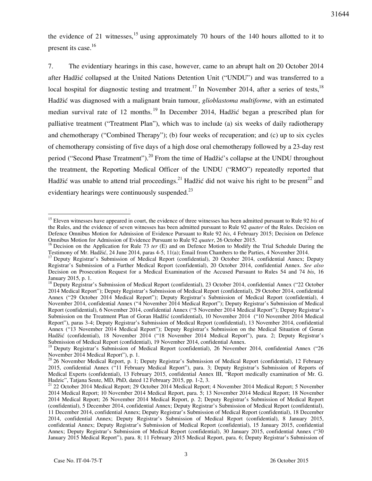the evidence of 21 witnesses,  $15$  using approximately 70 hours of the 140 hours allotted to it to present its case. $16$ 

7. The evidentiary hearings in this case, however, came to an abrupt halt on 20 October 2014 after Hadžić collapsed at the United Nations Detention Unit ("UNDU") and was transferred to a local hospital for diagnostic testing and treatment.<sup>17</sup> In November 2014, after a series of tests,<sup>18</sup> Hadžić was diagnosed with a malignant brain tumour, *glioblastoma multiforme*, with an estimated median survival rate of 12 months.<sup>19</sup> In December 2014, Hadžić began a prescribed plan for palliative treatment ("Treatment Plan"), which was to include (a) six weeks of daily radiotherapy and chemotherapy ("Combined Therapy"); (b) four weeks of recuperation; and (c) up to six cycles of chemotherapy consisting of five days of a high dose oral chemotherapy followed by a 23-day rest period ("Second Phase Treatment").<sup>20</sup> From the time of Hadžić's collapse at the UNDU throughout the treatment, the Reporting Medical Officer of the UNDU ("RMO") repeatedly reported that Hadžić was unable to attend trial proceedings.<sup>21</sup> Hadžić did not waive his right to be present<sup>22</sup> and evidentiary hearings were continuously suspended.<sup>23</sup>

<sup>&</sup>lt;sup>15</sup> Eleven witnesses have appeared in court, the evidence of three witnesses has been admitted pursuant to Rule 92 *bis* of the Rules, and the evidence of seven witnesses has been admitted pursuant to Rule 92 *quater* of the Rules. Decision on Defence Omnibus Motion for Admission of Evidence Pursuant to Rule 92 *bis*, 4 February 2015; Decision on Defence Omnibus Motion for Admission of Evidence Pursuant to Rule 92 *quater*, 26 October 2015.

<sup>&</sup>lt;sup>16</sup> Decision on the Application for Rule 73 *ter* (E) and on Defence Motion to Modify the Trial Schedule During the Testimony of Mr. Hadžić, 24 June 2014, paras 4-5, 11(a); Email from Chambers to the Parties, 4 November 2014.

<sup>&</sup>lt;sup>17</sup> Deputy Registrar's Submission of Medical Report (confidential), 20 October 2014, confidential Annex; Deputy Registrar's Submission of a Further Medical Report (confidential), 20 October 2014, confidential Annex. *See also*  Decision on Prosecution Request for a Medical Examination of the Accused Pursuant to Rules 54 and 74 *bis*, 16 January 2015, p. 1.

<sup>&</sup>lt;sup>18</sup> Deputy Registrar's Submission of Medical Report (confidential), 23 October 2014, confidential Annex ("22 October 2014 Medical Report"); Deputy Registrar's Submission of Medical Report (confidential), 29 October 2014, confidential Annex ("29 October 2014 Medical Report"); Deputy Registrar's Submission of Medical Report (confidential), 4 November 2014, confidential Annex ("4 November 2014 Medical Report"); Deputy Registrar's Submission of Medical Report (confidential), 6 November 2014, confidential Annex ("5 November 2014 Medical Report"); Deputy Registrar's Submission on the Treatment Plan of Goran Hadžić (confidential), 10 November 2014 ("10 November 2014 Medical Report"), paras 3-4; Deputy Registrar's Submission of Medical Report (confidential), 13 November 2014, confidential Annex ("13 November 2014 Medical Report"); Deputy Registrar's Submission on the Medical Situation of Goran Hadžić (confidential), 18 November 2014 ("18 November 2014 Medical Report"), para. 2; Deputy Registrar's Submission of Medical Report (confidential), 19 November 2014, confidential Annex.

<sup>&</sup>lt;sup>19</sup> Deputy Registrar's Submission of Medical Report (confidential), 26 November 2014, confidential Annex ("26 November 2014 Medical Report"), p. 1.

<sup>&</sup>lt;sup>20</sup> 26 November Medical Report, p. 1; Deputy Registrar's Submission of Medical Report (confidential), 12 February 2015, confidential Annex ("11 February Medical Report"), para. 3; Deputy Registrar's Submission of Reports of Medical Experts (confidential), 13 February 2015, confidential Annex III, "Report medically examination of Mr. G. Hadzic", Tatjana Seute, MD, PhD, dated 12 February 2015, pp. 1-2, 3.

<sup>21</sup> 22 October 2014 Medical Report; 29 October 2014 Medical Report; 4 November 2014 Medical Report; 5 November 2014 Medical Report; 10 November 2014 Medical Report, para. 5; 13 November 2014 Medical Report; 18 November 2014 Medical Report; 26 November 2014 Medical Report, p. 2; Deputy Registrar's Submission of Medical Report (confidential), 5 December 2014, confidential Annex; Deputy Registrar's Submission of Medical Report (confidential), 11 December 2014, confidential Annex; Deputy Registrar's Submission of Medical Report (confidential), 18 December 2014, confidential Annex; Deputy Registrar's Submission of Medical Report (confidential), 8 January 2015, confidential Annex; Deputy Registrar's Submission of Medical Report (confidential), 15 January 2015, confidential Annex; Deputy Registrar's Submission of Medical Report (confidential), 30 January 2015, confidential Annex ("30 January 2015 Medical Report"), para. 8; 11 February 2015 Medical Report, para. 6; Deputy Registrar's Submission of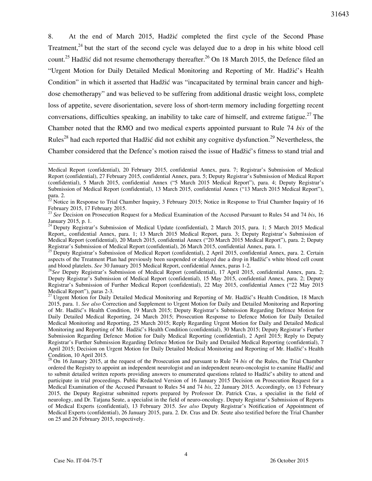8. At the end of March 2015, Hadžić completed the first cycle of the Second Phase Treatment, $24$  but the start of the second cycle was delayed due to a drop in his white blood cell count.<sup>25</sup> Hadžić did not resume chemotherapy thereafter.<sup>26</sup> On 18 March 2015, the Defence filed an "Urgent Motion for Daily Detailed Medical Monitoring and Reporting of Mr. Hadžić's Health Condition" in which it asserted that Hadžić was "incapacitated by terminal brain cancer and highdose chemotherapy" and was believed to be suffering from additional drastic weight loss, complete loss of appetite, severe disorientation, severe loss of short-term memory including forgetting recent conversations, difficulties speaking, an inability to take care of himself, and extreme fatigue.<sup>27</sup> The Chamber noted that the RMO and two medical experts appointed pursuant to Rule 74 *bis* of the Rules<sup>28</sup> had each reported that Hadžić did not exhibit any cognitive dysfunction.<sup>29</sup> Nevertheless, the Chamber considered that the Defence's motion raised the issue of Hadžić's fitness to stand trial and

Medical Report (confidential), 20 February 2015, confidential Annex, para. 7; Registrar's Submission of Medical Report (confidential), 27 February 2015, confidential Annex, para. 5; Deputy Registrar's Submission of Medical Report (confidential), 5 March 2015, confidential Annex ("5 March 2015 Medical Report"), para. 4; Deputy Registrar's Submission of Medical Report (confidential), 13 March 2015, confidential Annex ("13 March 2015 Medical Report"), para. 2.

 $^{22}$  Notice in Response to Trial Chamber Inquiry, 3 February 2015; Notice in Response to Trial Chamber Inquiry of 16 February 2015, 17 February 2015.

<sup>23</sup> *See* Decision on Prosecution Request for a Medical Examination of the Accused Pursuant to Rules 54 and 74 *bis*, 16 January 2015, p. 1.

<sup>&</sup>lt;sup>24</sup> Deputy Registrar's Submission of Medical Update (confidential), 2 March 2015, para. 1; 5 March 2015 Medical Report,, confidential Annex, para. 1; 13 March 2015 Medical Report, para. 3; Deputy Registrar's Submission of Medical Report (confidential), 20 March 2015, confidential Annex ("20 March 2015 Medical Report"), para. 2; Deputy Registrar's Submission of Medical Report (confidential), 26 March 2015, confidential Annex, para. 1.

<sup>&</sup>lt;sup>25</sup> Deputy Registrar's Submission of Medical Report (confidential), 2 April 2015, confidential Annex, para. 2. Certain aspects of the Treatment Plan had previously been suspended or delayed due a drop in Hadžić's white blood cell count and blood platelets. *See* 30 January 2015 Medical Report, confidential Annex, paras 1-2.

<sup>&</sup>lt;sup>26</sup>See Deputy Registrar's Submission of Medical Report (confidential), 17 April 2015, confidential Annex, para. 2; Deputy Registrar's Submission of Medical Report (confidential), 15 May 2015, confidential Annex, para. 2; Deputy Registrar's Submission of Further Medical Report (confidential), 22 May 2015, confidential Annex ("22 May 2015 Medical Report"), paras 2-3.

<sup>&</sup>lt;sup>27</sup> Urgent Motion for Daily Detailed Medical Monitoring and Reporting of Mr. Hadžić's Health Condition, 18 March 2015, para. 1. *See also* Correction and Supplement to Urgent Motion for Daily and Detailed Monitoring and Reporting of Mr. Hadžić's Health Condition, 19 March 2015; Deputy Registrar's Submission Regarding Defence Motion for Daily Detailed Medical Reporting, 24 March 2015; Prosecution Response to Defence Motion for Daily Detailed Medical Monitoring and Reporting, 25 March 2015; Reply Regarding Urgent Motion for Daily and Detailed Medical Monitoring and Reporting of Mr. Hadžić's Health Condition (confidential), 30 March 2015; Deputy Registrar's Further Submission Regarding Defence Motion for Daily Medical Reporting (confidential), 2 April 2015; Reply to Deputy Registrar's Further Submission Regarding Defence Motion for Daily and Detailed Medical Reporting (confidential), 7 April 2015; Decision on Urgent Motion for Daily Detailed Medical Monitoring and Reporting of Mr. Hadžić's Health Condition, 10 April 2015.

<sup>28</sup> On 16 January 2015, at the request of the Prosecution and pursuant to Rule 74 *bis* of the Rules, the Trial Chamber ordered the Registry to appoint an independent neurologist and an independent neuro-oncologist to examine Hadžić and to submit detailed written reports providing answers to enumerated questions related to Hadžić's ability to attend and participate in trial proceedings. Public Redacted Version of 16 January 2015 Decision on Prosecution Request for a Medical Examination of the Accused Pursuant to Rules 54 and 74 *bis*, 22 January 2015. Accordingly, on 13 February 2015, the Deputy Registrar submitted reports prepared by Professor Dr. Patrick Cras, a specialist in the field of neurology, and Dr. Tatjana Seute, a specialist in the field of neuro-oncology. Deputy Registrar's Submission of Reports of Medical Experts (confidential), 13 February 2015. *See also* Deputy Registrar's Notification of Appointment of Medical Experts (confidential), 26 January 2015, para. 2. Dr. Cras and Dr. Seute also testified before the Trial Chamber on 25 and 26 February 2015, respectively.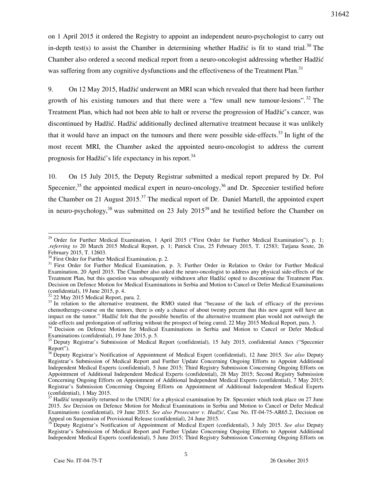on 1 April 2015 it ordered the Registry to appoint an independent neuro-psychologist to carry out in-depth test(s) to assist the Chamber in determining whether Hadžić is fit to stand trial.<sup>30</sup> The Chamber also ordered a second medical report from a neuro-oncologist addressing whether Hadžić was suffering from any cognitive dysfunctions and the effectiveness of the Treatment Plan.<sup>31</sup>

9. On 12 May 2015, Hadžić underwent an MRI scan which revealed that there had been further growth of his existing tumours and that there were a "few small new tumour-lesions".<sup>32</sup> The Treatment Plan, which had not been able to halt or reverse the progression of Hadžić's cancer, was discontinued by Hadžić. Hadžić additionally declined alternative treatment because it was unlikely that it would have an impact on the tumours and there were possible side-effects.<sup>33</sup> In light of the most recent MRI, the Chamber asked the appointed neuro-oncologist to address the current prognosis for Hadžić's life expectancy in his report.<sup>34</sup>

10. On 15 July 2015, the Deputy Registrar submitted a medical report prepared by Dr. Pol Specenier,<sup>35</sup> the appointed medical expert in neuro-oncology,<sup>36</sup> and Dr. Specenier testified before the Chamber on 21 August  $2015$ <sup>37</sup> The medical report of Dr. Daniel Martell, the appointed expert in neuro-psychology,  $38$  was submitted on 23 July 2015<sup>39</sup> and he testified before the Chamber on

<sup>&</sup>lt;sup>29</sup> Order for Further Medical Examination, 1 April 2015 ("First Order for Further Medical Examination"), p. 1; .*referring to* 20 March 2015 Medical Report, p. 1; Patrick Cras, 25 February 2015, T. 12583; Tatjana Seute, 26 February 2015, T. 12603.

<sup>&</sup>lt;sup>30</sup> First Order for Further Medical Examination, p. 2.

<sup>&</sup>lt;sup>31</sup> First Order for Further Medical Examination, p. 3; Further Order in Relation to Order for Further Medical Examination, 20 April 2015. The Chamber also asked the neuro-oncologist to address any physical side-effects of the Treatment Plan, but this question was subsequently withdrawn after Hadžić opted to discontinue the Treatment Plan. Decision on Defence Motion for Medical Examinations in Serbia and Motion to Cancel or Defer Medical Examinations (confidential), 19 June 2015, p. 4.

 $2^2$  22 May 2015 Medical Report, para. 2.

 $33$  In relation to the alternative treatment, the RMO stated that "because of the lack of efficacy of the previous chemotherapy-course on the tumors, there is only a chance of about twenty percent that this new agent will have an impact on the tumor." Hadžić felt that the possible benefits of the alternative treatment plan would not outweigh the side-effects and prolongation of suffering without the prospect of being cured. 22 May 2015 Medical Report, para. 3.

<sup>&</sup>lt;sup>34</sup> Decision on Defence Motion for Medical Examinations in Serbia and Motion to Cancel or Defer Medical Examinations (confidential), 19 June 2015, p. 5.

<sup>&</sup>lt;sup>35</sup> Deputy Registrar's Submission of Medical Report (confidential), 15 July 2015, confidential Annex ("Specenier Report").

<sup>36</sup> Deputy Registrar's Notification of Appointment of Medical Expert (confidential), 12 June 2015. *See also* Deputy Registrar's Submission of Medical Report and Further Update Concerning Ongoing Efforts to Appoint Additional Independent Medical Experts (confidential), 5 June 2015; Third Registry Submission Concerning Ongoing Efforts on Appointment of Additional Independent Medical Experts (confidential), 28 May 2015; Second Registry Submission Concerning Ongoing Efforts on Appointment of Additional Independent Medical Experts (confidential), 7 May 2015; Registrar's Submission Concerning Ongoing Efforts on Appointment of Additional Independent Medical Experts (confidential), 1 May 2015.

 $37$  Hadžić temporarily returned to the UNDU for a physical examination by Dr. Specenier which took place on 27 June 2015. *See* Decision on Defence Motion for Medical Examinations in Serbia and Motion to Cancel or Defer Medical Examinations (confidential), 19 June 2015. *See also Prosecutor v. Hadžić*, Case No. IT-04-75-AR65.2, Decision on Appeal on Suspension of Provisional Release (confidential), 24 June 2015.

<sup>38</sup> Deputy Registrar's Notification of Appointment of Medical Expert (confidential), 3 July 2015. *See also* Deputy Registrar's Submission of Medical Report and Further Update Concerning Ongoing Efforts to Appoint Additional Independent Medical Experts (confidential), 5 June 2015; Third Registry Submission Concerning Ongoing Efforts on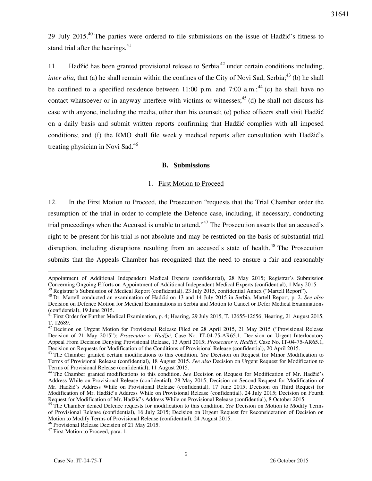29 July 2015.<sup>40</sup> The parties were ordered to file submissions on the issue of Hadžić's fitness to stand trial after the hearings.<sup>41</sup>

11. Hadžić has been granted provisional release to Serbia<sup>42</sup> under certain conditions including, *inter alia*, that (a) he shall remain within the confines of the City of Novi Sad, Serbia;  $43$  (b) he shall be confined to a specified residence between 11:00 p.m. and 7:00 a.m.;<sup>44</sup> (c) he shall have no contact whatsoever or in anyway interfere with victims or witnesses;  $45$  (d) he shall not discuss his case with anyone, including the media, other than his counsel; (e) police officers shall visit Hadžić on a daily basis and submit written reports confirming that Hadžić complies with all imposed conditions; and (f) the RMO shall file weekly medical reports after consultation with Hadžić's treating physician in Novi Sad.<sup>46</sup>

### **B. Submissions**

## 1. First Motion to Proceed

12. In the First Motion to Proceed, the Prosecution "requests that the Trial Chamber order the resumption of the trial in order to complete the Defence case, including, if necessary, conducting trial proceedings when the Accused is unable to attend."<sup>47</sup> The Prosecution asserts that an accused's right to be present for his trial is not absolute and may be restricted on the basis of substantial trial disruption, including disruptions resulting from an accused's state of health.<sup>48</sup> The Prosecution submits that the Appeals Chamber has recognized that the need to ensure a fair and reasonably

Appointment of Additional Independent Medical Experts (confidential), 28 May 2015; Registrar's Submission Concerning Ongoing Efforts on Appointment of Additional Independent Medical Experts (confidential), 1 May 2015.

<sup>39</sup> Registrar's Submission of Medical Report (confidential), 23 July 2015, confidential Annex ("Martell Report").

<sup>40</sup> Dr. Martell conducted an examination of Hadžić on 13 and 14 July 2015 in Serbia. Martell Report, p. 2. *See also*  Decision on Defence Motion for Medical Examinations in Serbia and Motion to Cancel or Defer Medical Examinations (confidential), 19 June 2015.

 $41$  First Order for Further Medical Examination, p. 4; Hearing, 29 July 2015, T. 12655-12656; Hearing, 21 August 2015, T. 12689.

<sup>42</sup> Decision on Urgent Motion for Provisional Release Filed on 28 April 2015, 21 May 2015 ("Provisional Release Decision of 21 May 2015"); *Prosecutor v. Hadžić*, Case No. IT-04-75-AR65.1, Decision on Urgent Interlocutory Appeal From Decision Denying Provisional Release, 13 April 2015; *Prosecutor v. Hadžić*, Case No. IT-04-75-AR65.1, Decision on Requests for Modification of the Conditions of Provisional Release (confidential), 20 April 2015.

<sup>&</sup>lt;sup>43</sup> The Chamber granted certain modifications to this condition. *See* Decision on Request for Minor Modification to Terms of Provisional Release (confidential), 18 August 2015. *See also* Decision on Urgent Request for Modification to Terms of Provisional Release (confidential), 11 August 2015.

<sup>44</sup> The Chamber granted modifications to this condition. *See* Decision on Request for Modification of Mr. Hadžić's Address While on Provisional Release (confidential), 28 May 2015; Decision on Second Request for Modification of Mr. Hadžić's Address While on Provisional Release (confidential), 17 June 2015; Decision on Third Request for Modification of Mr. Hadžić's Address While on Provisional Release (confidential), 24 July 2015; Decision on Fourth Request for Modification of Mr. Hadžić's Address While on Provisional Release (confidential), 8 October 2015.

<sup>&</sup>lt;sup>45</sup> The Chamber denied Defence requests for modification to this condition. *See* Decision on Motion to Modify Terms of Provisional Release (confidential), 16 July 2015; Decision on Urgent Request for Reconsideration of Decision on Motion to Modify Terms of Provisional Release (confidential), 24 August 2015.

<sup>&</sup>lt;sup>46</sup> Provisional Release Decision of 21 May 2015.

<sup>&</sup>lt;sup>47</sup> First Motion to Proceed, para. 1.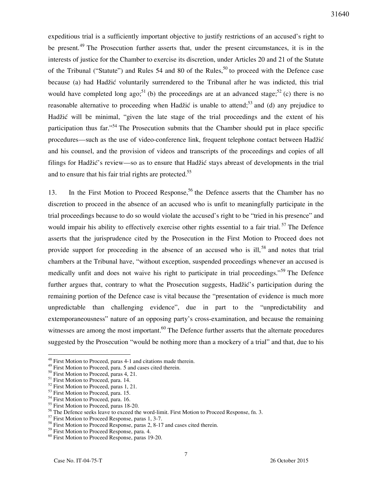expeditious trial is a sufficiently important objective to justify restrictions of an accused's right to be present.<sup>49</sup> The Prosecution further asserts that, under the present circumstances, it is in the interests of justice for the Chamber to exercise its discretion, under Articles 20 and 21 of the Statute of the Tribunal ("Statute") and Rules 54 and 80 of the Rules,<sup>50</sup> to proceed with the Defence case because (a) had Hadžić voluntarily surrendered to the Tribunal after he was indicted, this trial would have completed long ago;<sup>51</sup> (b) the proceedings are at an advanced stage;<sup>52</sup> (c) there is no reasonable alternative to proceeding when Hadžić is unable to attend;<sup>53</sup> and (d) any prejudice to Hadžić will be minimal, "given the late stage of the trial proceedings and the extent of his participation thus far."<sup>54</sup> The Prosecution submits that the Chamber should put in place specific procedures—such as the use of video-conference link, frequent telephone contact between Hadžić and his counsel, and the provision of videos and transcripts of the proceedings and copies of all filings for Hadžić's review—so as to ensure that Hadžić stays abreast of developments in the trial and to ensure that his fair trial rights are protected.<sup>55</sup>

13. In the First Motion to Proceed Response,<sup>56</sup> the Defence asserts that the Chamber has no discretion to proceed in the absence of an accused who is unfit to meaningfully participate in the trial proceedings because to do so would violate the accused's right to be "tried in his presence" and would impair his ability to effectively exercise other rights essential to a fair trial.<sup>57</sup> The Defence asserts that the jurisprudence cited by the Prosecution in the First Motion to Proceed does not provide support for proceeding in the absence of an accused who is ill,  $58$  and notes that trial chambers at the Tribunal have, "without exception, suspended proceedings whenever an accused is medically unfit and does not waive his right to participate in trial proceedings."<sup>59</sup> The Defence further argues that, contrary to what the Prosecution suggests, Hadžić's participation during the remaining portion of the Defence case is vital because the "presentation of evidence is much more unpredictable than challenging evidence", due in part to the "unpredictability and extemporaneousness" nature of an opposing party's cross-examination, and because the remaining witnesses are among the most important.<sup>60</sup> The Defence further asserts that the alternate procedures suggested by the Prosecution "would be nothing more than a mockery of a trial" and that, due to his

 $48$  First Motion to Proceed, paras 4-1 and citations made therein.

<sup>&</sup>lt;sup>49</sup> First Motion to Proceed, para. 5 and cases cited therein.

<sup>&</sup>lt;sup>50</sup> First Motion to Proceed, paras 4, 21.

<sup>&</sup>lt;sup>51</sup> First Motion to Proceed, para. 14.

<sup>&</sup>lt;sup>52</sup> First Motion to Proceed, paras 1, 21.

<sup>&</sup>lt;sup>53</sup> First Motion to Proceed, para. 15.

<sup>&</sup>lt;sup>54</sup> First Motion to Proceed, para. 16.

<sup>&</sup>lt;sup>55</sup> First Motion to Proceed, paras 18-20.

<sup>&</sup>lt;sup>56</sup> The Defence seeks leave to exceed the word-limit. First Motion to Proceed Response, fn. 3.

<sup>&</sup>lt;sup>57</sup> First Motion to Proceed Response, paras 1, 3-7.

<sup>&</sup>lt;sup>58</sup> First Motion to Proceed Response, paras 2, 8-17 and cases cited therein.

<sup>&</sup>lt;sup>59</sup> First Motion to Proceed Response, para. 4.

<sup>&</sup>lt;sup>60</sup> First Motion to Proceed Response, paras 19-20.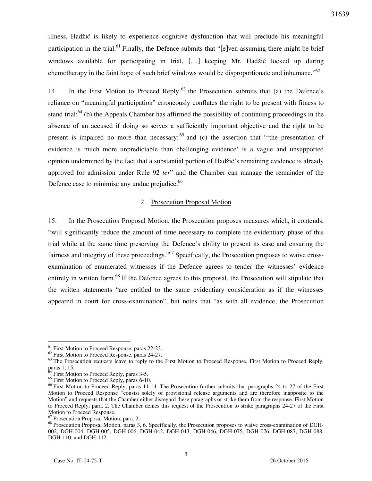illness, Hadžić is likely to experience cognitive dysfunction that will preclude his meaningful participation in the trial.<sup>61</sup> Finally, the Defence submits that "[e]ven assuming there might be brief windows available for participating in trial, […] keeping Mr. Hadžić locked up during chemotherapy in the faint hope of such brief windows would be disproportionate and inhumane."<sup>62</sup>

14. In the First Motion to Proceed Reply,  $63$  the Prosecution submits that (a) the Defence's reliance on "meaningful participation" erroneously conflates the right to be present with fitness to stand trial;<sup>64</sup> (b) the Appeals Chamber has affirmed the possibility of continuing proceedings in the absence of an accused if doing so serves a sufficiently important objective and the right to be present is impaired no more than necessary;  $65$  and (c) the assertion that "the presentation of evidence is much more unpredictable than challenging evidence' is a vague and unsupported opinion undermined by the fact that a substantial portion of Hadžić's remaining evidence is already approved for admission under Rule 92 *ter*" and the Chamber can manage the remainder of the Defence case to minimise any undue prejudice.<sup>66</sup>

#### 2. Prosecution Proposal Motion

15. In the Prosecution Proposal Motion, the Prosecution proposes measures which, it contends, "will significantly reduce the amount of time necessary to complete the evidentiary phase of this trial while at the same time preserving the Defence's ability to present its case and ensuring the fairness and integrity of these proceedings."<sup>67</sup> Specifically, the Prosecution proposes to waive crossexamination of enumerated witnesses if the Defence agrees to tender the witnesses' evidence entirely in written form.<sup>68</sup> If the Defence agrees to this proposal, the Prosecution will stipulate that the written statements "are entitled to the same evidentiary consideration as if the witnesses appeared in court for cross-examination", but notes that "as with all evidence, the Prosecution

 $\overline{a}$  $<sup>61</sup>$  First Motion to Proceed Response, paras 22-23.</sup>

<sup>&</sup>lt;sup>62</sup> First Motion to Proceed Response, paras 24-27.

<sup>&</sup>lt;sup>63</sup> The Prosecution requests leave to reply to the First Motion to Proceed Response. First Motion to Proceed Reply, paras 1, 15.

First Motion to Proceed Reply, paras 3-5.

<sup>&</sup>lt;sup>65</sup> First Motion to Proceed Reply, paras 6-10.

<sup>&</sup>lt;sup>66</sup> First Motion to Proceed Reply, paras 11-14. The Prosecution further submits that paragraphs 24 to 27 of the First Motion to Proceed Response "consist solely of provisional release arguments and are therefore inapposite to the Motion" and requests that the Chamber either disregard these paragraphs or strike them from the response. First Motion to Proceed Reply, para. 2. The Chamber denies this request of the Prosecution to strike paragraphs 24-27 of the First Motion to Proceed Response.

<sup>67</sup> Prosecution Proposal Motion, para. 2.

<sup>&</sup>lt;sup>68</sup> Prosecution Proposal Motion, paras 3, 6. Specifically, the Prosecution proposes to waive cross-examination of DGH-002, DGH-004, DGH-005, DGH-006, DGH-042, DGH-043, DGH-046, DGH-075, DGH-076, DGH-087, DGH-088, DGH-110, and DGH-112.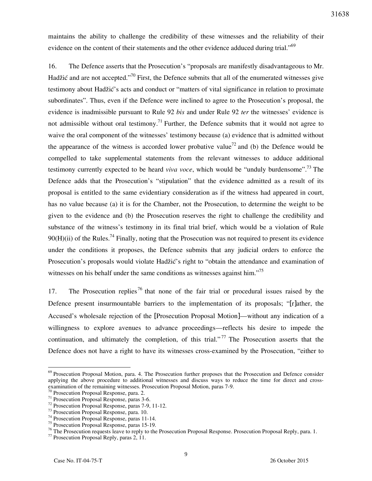maintains the ability to challenge the credibility of these witnesses and the reliability of their evidence on the content of their statements and the other evidence adduced during trial." $69$ 

16. The Defence asserts that the Prosecution's "proposals are manifestly disadvantageous to Mr. Hadžić and are not accepted."<sup>70</sup> First, the Defence submits that all of the enumerated witnesses give testimony about Hadžić's acts and conduct or "matters of vital significance in relation to proximate subordinates". Thus, even if the Defence were inclined to agree to the Prosecution's proposal, the evidence is inadmissible pursuant to Rule 92 *bis* and under Rule 92 *ter* the witnesses' evidence is not admissible without oral testimony.<sup>71</sup> Further, the Defence submits that it would not agree to waive the oral component of the witnesses' testimony because (a) evidence that is admitted without the appearance of the witness is accorded lower probative value<sup>72</sup> and (b) the Defence would be compelled to take supplemental statements from the relevant witnesses to adduce additional testimony currently expected to be heard *viva voce*, which would be "unduly burdensome".<sup>73</sup> The Defence adds that the Prosecution's "stipulation" that the evidence admitted as a result of its proposal is entitled to the same evidentiary consideration as if the witness had appeared in court, has no value because (a) it is for the Chamber, not the Prosecution, to determine the weight to be given to the evidence and (b) the Prosecution reserves the right to challenge the credibility and substance of the witness's testimony in its final trial brief, which would be a violation of Rule  $90(H)(ii)$  of the Rules.<sup>74</sup> Finally, noting that the Prosecution was not required to present its evidence under the conditions it proposes, the Defence submits that any judicial orders to enforce the Prosecution's proposals would violate Hadžić's right to "obtain the attendance and examination of witnesses on his behalf under the same conditions as witnesses against him."<sup>75</sup>

17. The Prosecution replies  $^{76}$  that none of the fair trial or procedural issues raised by the Defence present insurmountable barriers to the implementation of its proposals; "[r]ather, the Accused's wholesale rejection of the [Prosecution Proposal Motion]—without any indication of a willingness to explore avenues to advance proceedings—reflects his desire to impede the continuation, and ultimately the completion, of this trial."<sup>77</sup> The Prosecution asserts that the Defence does not have a right to have its witnesses cross-examined by the Prosecution, "either to

 $69$  Prosecution Proposal Motion, para. 4. The Prosecution further proposes that the Prosecution and Defence consider applying the above procedure to additional witnesses and discuss ways to reduce the time for direct and crossexamination of the remaining witnesses. Prosecution Proposal Motion, paras 7-9.

<sup>&</sup>lt;sup>0</sup> Prosecution Proposal Response, para. 2.

<sup>71</sup> Prosecution Proposal Response, paras 3-6.

<sup>72</sup> Prosecution Proposal Response, paras 7-9, 11-12.

<sup>73</sup> Prosecution Proposal Response, para. 10.

<sup>74</sup> Prosecution Proposal Response, paras 11-14.

<sup>75</sup> Prosecution Proposal Response, paras 15-19.

<sup>&</sup>lt;sup>76</sup> The Prosecution requests leave to reply to the Prosecution Proposal Response. Prosecution Proposal Reply, para. 1.

<sup>77</sup> Prosecution Proposal Reply, paras 2, 11.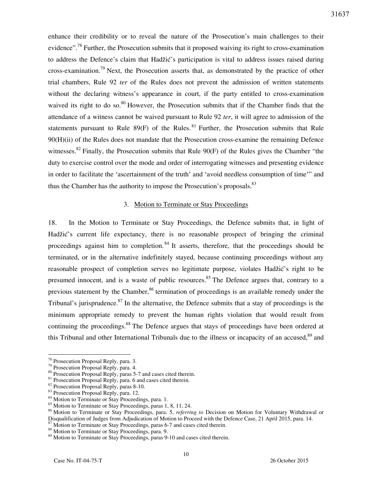enhance their credibility or to reveal the nature of the Prosecution's main challenges to their evidence".<sup>78</sup> Further, the Prosecution submits that it proposed waiving its right to cross-examination to address the Defence's claim that Hadžić's participation is vital to address issues raised during cross-examination.<sup>79</sup> Next, the Prosecution asserts that, as demonstrated by the practice of other trial chambers, Rule 92 *ter* of the Rules does not prevent the admission of written statements without the declaring witness's appearance in court, if the party entitled to cross-examination waived its right to do so.<sup>80</sup> However, the Prosecution submits that if the Chamber finds that the attendance of a witness cannot be waived pursuant to Rule 92 *ter*, it will agree to admission of the statements pursuant to Rule  $89(F)$  of the Rules. <sup>81</sup> Further, the Prosecution submits that Rule 90(H)(ii) of the Rules does not mandate that the Prosecution cross-examine the remaining Defence witnesses.<sup>82</sup> Finally, the Prosecution submits that Rule  $90(F)$  of the Rules gives the Chamber "the duty to exercise control over the mode and order of interrogating witnesses and presenting evidence in order to facilitate the 'ascertainment of the truth' and 'avoid needless consumption of time'" and thus the Chamber has the authority to impose the Prosecution's proposals.<sup>83</sup>

## 3. Motion to Terminate or Stay Proceedings

18. In the Motion to Terminate or Stay Proceedings, the Defence submits that, in light of Hadžić's current life expectancy, there is no reasonable prospect of bringing the criminal proceedings against him to completion.<sup>84</sup> It asserts, therefore, that the proceedings should be terminated, or in the alternative indefinitely stayed, because continuing proceedings without any reasonable prospect of completion serves no legitimate purpose, violates Hadžić's right to be presumed innocent, and is a waste of public resources.<sup>85</sup> The Defence argues that, contrary to a previous statement by the Chamber,  $86$  termination of proceedings is an available remedy under the Tribunal's jurisprudence.<sup>87</sup> In the alternative, the Defence submits that a stay of proceedings is the minimum appropriate remedy to prevent the human rights violation that would result from continuing the proceedings.<sup>88</sup> The Defence argues that stays of proceedings have been ordered at this Tribunal and other International Tribunals due to the illness or incapacity of an accused.<sup>89</sup> and

<sup>&</sup>lt;sup>78</sup> Prosecution Proposal Reply, para. 3.

<sup>79</sup> Prosecution Proposal Reply, para. 4.

<sup>&</sup>lt;sup>80</sup> Prosecution Proposal Reply, paras 5-7 and cases cited therein.

<sup>&</sup>lt;sup>81</sup> Prosecution Proposal Reply, para. 6 and cases cited therein.

<sup>82</sup> Prosecution Proposal Reply, paras 8-10.

<sup>83</sup> Prosecution Proposal Reply, para. 12.

<sup>84</sup> Motion to Terminate or Stay Proceedings, para. 1.

<sup>&</sup>lt;sup>85</sup> Motion to Terminate or Stay Proceedings, paras 1, 8, 11, 24.

<sup>86</sup> Motion to Terminate or Stay Proceedings, para. 5, *referring to* Decision on Motion for Voluntary Withdrawal or Disqualification of Judges from Adjudication of Motion to Proceed with the Defence Case, 21 April 2015, para. 14.

 $37$  Motion to Terminate or Stay Proceedings, paras 6-7 and cases cited therein.

<sup>88</sup> Motion to Terminate or Stay Proceedings, para. 9.

<sup>&</sup>lt;sup>89</sup> Motion to Terminate or Stay Proceedings, paras 9-10 and cases cited therein.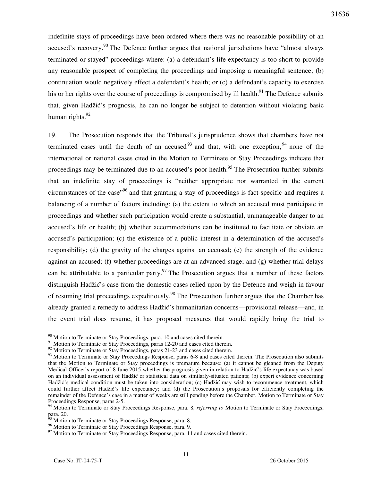indefinite stays of proceedings have been ordered where there was no reasonable possibility of an accused's recovery.<sup>90</sup> The Defence further argues that national jurisdictions have "almost always" terminated or stayed" proceedings where: (a) a defendant's life expectancy is too short to provide any reasonable prospect of completing the proceedings and imposing a meaningful sentence; (b) continuation would negatively effect a defendant's health; or (c) a defendant's capacity to exercise his or her rights over the course of proceedings is compromised by ill health.<sup>91</sup> The Defence submits that, given Hadžić's prognosis, he can no longer be subject to detention without violating basic human rights. $92$ 

19. The Prosecution responds that the Tribunal's jurisprudence shows that chambers have not terminated cases until the death of an accused<sup>93</sup> and that, with one exception, <sup>94</sup> none of the international or national cases cited in the Motion to Terminate or Stay Proceedings indicate that proceedings may be terminated due to an accused's poor health.<sup>95</sup> The Prosecution further submits that an indefinite stay of proceedings is "neither appropriate nor warranted in the current circumstances of the case<sup> $.96$ </sup> and that granting a stay of proceedings is fact-specific and requires a balancing of a number of factors including: (a) the extent to which an accused must participate in proceedings and whether such participation would create a substantial, unmanageable danger to an accused's life or health; (b) whether accommodations can be instituted to facilitate or obviate an accused's participation; (c) the existence of a public interest in a determination of the accused's responsibility; (d) the gravity of the charges against an accused; (e) the strength of the evidence against an accused; (f) whether proceedings are at an advanced stage; and (g) whether trial delays can be attributable to a particular party.<sup>97</sup> The Prosecution argues that a number of these factors distinguish Hadžić's case from the domestic cases relied upon by the Defence and weigh in favour of resuming trial proceedings expeditiously.<sup>98</sup> The Prosecution further argues that the Chamber has already granted a remedy to address Hadžić's humanitarian concerns—provisional release—and, in the event trial does resume, it has proposed measures that would rapidly bring the trial to

 $90$  Motion to Terminate or Stay Proceedings, para. 10 and cases cited therein.

<sup>&</sup>lt;sup>91</sup> Motion to Terminate or Stay Proceedings, paras 12-20 and cases cited therein.

<sup>&</sup>lt;sup>92</sup> Motion to Terminate or Stay Proceedings, paras 21-23 and cases cited therein.

<sup>&</sup>lt;sup>93</sup> Motion to Terminate or Stay Proceedings Response, paras 6-8 and cases cited therein. The Prosecution also submits that the Motion to Terminate or Stay proceedings is premature because: (a) it cannot be gleaned from the Deputy Medical Officer's report of 8 June 2015 whether the prognosis given in relation to Hadžić's life expectancy was based on an individual assessment of Hadžić or statistical data on similarly-situated patients; (b) expert evidence concerning Hadžić's medical condition must be taken into consideration; (c) Hadžić may wish to recommence treatment, which could further affect Hadžić's life expectancy; and (d) the Prosecution's proposals for efficiently completing the remainder of the Defence's case in a matter of weeks are still pending before the Chamber. Motion to Terminate or Stay Proceedings Response, paras 2-5.

<sup>94</sup> Motion to Terminate or Stay Proceedings Response, para. 8, *referring to* Motion to Terminate or Stay Proceedings, para. 20.

Motion to Terminate or Stay Proceedings Response, para. 8.

<sup>&</sup>lt;sup>96</sup> Motion to Terminate or Stay Proceedings Response, para. 9.

<sup>&</sup>lt;sup>97</sup> Motion to Terminate or Stay Proceedings Response, para. 11 and cases cited therein.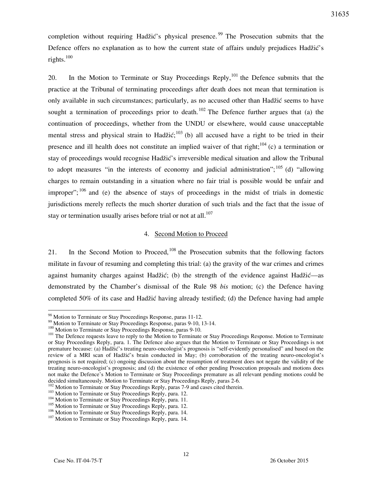completion without requiring Hadžić's physical presence. <sup>99</sup> The Prosecution submits that the Defence offers no explanation as to how the current state of affairs unduly prejudices Hadžić's rights.<sup>100</sup>

20. In the Motion to Terminate or Stay Proceedings Reply,  $101$  the Defence submits that the practice at the Tribunal of terminating proceedings after death does not mean that termination is only available in such circumstances; particularly, as no accused other than Hadžić seems to have sought a termination of proceedings prior to death.<sup>102</sup> The Defence further argues that (a) the continuation of proceedings, whether from the UNDU or elsewhere, would cause unacceptable mental stress and physical strain to Hadžić;<sup>103</sup> (b) all accused have a right to be tried in their presence and ill health does not constitute an implied waiver of that right;<sup>104</sup> (c) a termination or stay of proceedings would recognise Hadžić's irreversible medical situation and allow the Tribunal to adopt measures "in the interests of economy and judicial administration";  $^{105}$  (d) "allowing charges to remain outstanding in a situation where no fair trial is possible would be unfair and improper";  $106$  and (e) the absence of stays of proceedings in the midst of trials in domestic jurisdictions merely reflects the much shorter duration of such trials and the fact that the issue of stay or termination usually arises before trial or not at all.<sup>107</sup>

#### 4. Second Motion to Proceed

21. In the Second Motion to Proceed,  $108$  the Prosecution submits that the following factors militate in favour of resuming and completing this trial: (a) the gravity of the war crimes and crimes against humanity charges against Hadžić; (b) the strength of the evidence against Hadžić—as demonstrated by the Chamber's dismissal of the Rule 98 *bis* motion; (c) the Defence having completed 50% of its case and Hadžić having already testified; (d) the Defence having had ample

<sup>98</sup> Motion to Terminate or Stay Proceedings Response, paras 11-12.

<sup>&</sup>lt;sup>99</sup> Motion to Terminate or Stay Proceedings Response, paras 9-10, 13-14.

<sup>&</sup>lt;sup>100</sup> Motion to Terminate or Stay Proceedings Response, paras 9-10.

<sup>&</sup>lt;sup>101</sup> The Defence requests leave to reply to the Motion to Terminate or Stay Proceedings Response. Motion to Terminate or Stay Proceedings Reply, para. 1. The Defence also argues that the Motion to Terminate or Stay Proceedings is not premature because: (a) Hadžić's treating neuro-oncologist's prognosis is "self-evidently personalised" and based on the review of a MRI scan of Hadžić's brain conducted in May; (b) corroboration of the treating neuro-oncologist's prognosis is not required; (c) ongoing discussion about the resumption of treatment does not negate the validity of the treating neuro-oncologist's prognosis; and (d) the existence of other pending Prosecution proposals and motions does not make the Defence's Motion to Terminate or Stay Proceedings premature as all relevant pending motions could be decided simultaneously. Motion to Terminate or Stay Proceedings Reply, paras 2-6.

<sup>102</sup> Motion to Terminate or Stay Proceedings Reply, paras 7-9 and cases cited therein.

<sup>&</sup>lt;sup>103</sup> Motion to Terminate or Stay Proceedings Reply, para. 12.

<sup>&</sup>lt;sup>104</sup> Motion to Terminate or Stay Proceedings Reply, para. 11.

<sup>&</sup>lt;sup>105</sup> Motion to Terminate or Stay Proceedings Reply, para. 12.

<sup>106</sup> Motion to Terminate or Stay Proceedings Reply, para. 14.

<sup>&</sup>lt;sup>107</sup> Motion to Terminate or Stay Proceedings Reply, para. 14.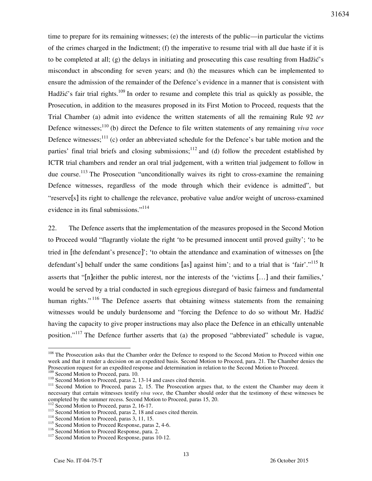time to prepare for its remaining witnesses; (e) the interests of the public—in particular the victims of the crimes charged in the Indictment; (f) the imperative to resume trial with all due haste if it is to be completed at all; (g) the delays in initiating and prosecuting this case resulting from Hadžić's misconduct in absconding for seven years; and (h) the measures which can be implemented to ensure the admission of the remainder of the Defence's evidence in a manner that is consistent with Hadžić's fair trial rights.<sup>109</sup> In order to resume and complete this trial as quickly as possible, the Prosecution, in addition to the measures proposed in its First Motion to Proceed, requests that the Trial Chamber (a) admit into evidence the written statements of all the remaining Rule 92 *ter* Defence witnesses;<sup>110</sup> (b) direct the Defence to file written statements of any remaining *viva voce* Defence witnesses;<sup>111</sup> (c) order an abbreviated schedule for the Defence's bar table motion and the parties' final trial briefs and closing submissions;  $12$  and (d) follow the precedent established by ICTR trial chambers and render an oral trial judgement, with a written trial judgement to follow in due course.<sup>113</sup> The Prosecution "unconditionally waives its right to cross-examine the remaining Defence witnesses, regardless of the mode through which their evidence is admitted", but "reserve[s] its right to challenge the relevance, probative value and/or weight of uncross-examined evidence in its final submissions."<sup>114</sup>

22. The Defence asserts that the implementation of the measures proposed in the Second Motion to Proceed would "flagrantly violate the right 'to be presumed innocent until proved guilty'; 'to be tried in [the defendant's presence]'; 'to obtain the attendance and examination of witnesses on [the defendant's] behalf under the same conditions [as] against him'; and to a trial that is 'fair'."<sup>115</sup> It asserts that "[n]either the public interest, nor the interests of the 'victims […] and their families,' would be served by a trial conducted in such egregious disregard of basic fairness and fundamental human rights."<sup>116</sup> The Defence asserts that obtaining witness statements from the remaining witnesses would be unduly burdensome and "forcing the Defence to do so without Mr. Hadžić having the capacity to give proper instructions may also place the Defence in an ethically untenable position."<sup>117</sup> The Defence further asserts that (a) the proposed "abbreviated" schedule is vague,

<sup>&</sup>lt;sup>108</sup> The Prosecution asks that the Chamber order the Defence to respond to the Second Motion to Proceed within one week and that it render a decision on an expedited basis. Second Motion to Proceed, para. 21. The Chamber denies the Prosecution request for an expedited response and determination in relation to the Second Motion to Proceed. <sup>109</sup> Second Motion to Proceed, para. 10.

 $110$  Second Motion to Proceed, paras 2, 13-14 and cases cited therein.

<sup>&</sup>lt;sup>111</sup> Second Motion to Proceed, paras 2, 15. The Prosecution argues that, to the extent the Chamber may deem it necessary that certain witnesses testify *viva voce*, the Chamber should order that the testimony of these witnesses be completed by the summer recess. Second Motion to Proceed, paras 15, 20.

<sup>&</sup>lt;sup>112</sup> Second Motion to Proceed, paras 2, 16-17.

<sup>&</sup>lt;sup>113</sup> Second Motion to Proceed, paras 2, 18 and cases cited therein.

<sup>&</sup>lt;sup>114</sup> Second Motion to Proceed, paras 3, 11, 15.

<sup>&</sup>lt;sup>115</sup> Second Motion to Proceed Response, paras 2, 4-6.

<sup>&</sup>lt;sup>116</sup> Second Motion to Proceed Response, para. 2.

<sup>&</sup>lt;sup>117</sup> Second Motion to Proceed Response, paras 10-12.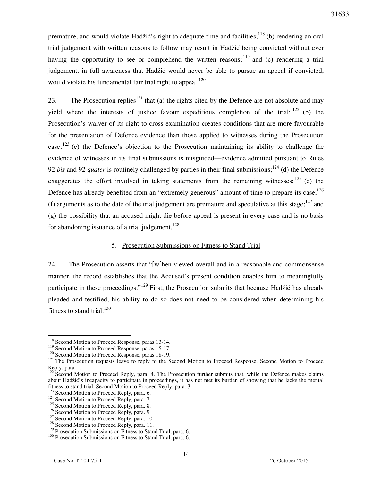premature, and would violate Hadžić's right to adequate time and facilities; $^{118}$  (b) rendering an oral trial judgement with written reasons to follow may result in Hadžić being convicted without ever having the opportunity to see or comprehend the written reasons;  $^{119}$  and (c) rendering a trial judgement, in full awareness that Hadžić would never be able to pursue an appeal if convicted, would violate his fundamental fair trial right to appeal.<sup>120</sup>

23. The Prosecution replies<sup>121</sup> that (a) the rights cited by the Defence are not absolute and may yield where the interests of justice favour expeditious completion of the trial;  $^{122}$  (b) the Prosecution's waiver of its right to cross-examination creates conditions that are more favourable for the presentation of Defence evidence than those applied to witnesses during the Prosecution case;<sup>123</sup> (c) the Defence's objection to the Prosecution maintaining its ability to challenge the evidence of witnesses in its final submissions is misguided—evidence admitted pursuant to Rules 92 *bis* and 92 *quater* is routinely challenged by parties in their final submissions;<sup>124</sup> (d) the Defence exaggerates the effort involved in taking statements from the remaining witnesses;  $^{125}$  (e) the Defence has already benefited from an "extremely generous" amount of time to prepare its case;  $126$ (f) arguments as to the date of the trial judgement are premature and speculative at this stage; $^{127}$  and (g) the possibility that an accused might die before appeal is present in every case and is no basis for abandoning issuance of a trial judgement.<sup>128</sup>

## 5. Prosecution Submissions on Fitness to Stand Trial

24. The Prosecution asserts that "[w]hen viewed overall and in a reasonable and commonsense manner, the record establishes that the Accused's present condition enables him to meaningfully participate in these proceedings."<sup>129</sup> First, the Prosecution submits that because Hadžić has already pleaded and testified, his ability to do so does not need to be considered when determining his fitness to stand trial. $130$ 

 $\overline{a}$ 

31633

<sup>&</sup>lt;sup>118</sup> Second Motion to Proceed Response, paras 13-14.

<sup>&</sup>lt;sup>119</sup> Second Motion to Proceed Response, paras 15-17.

<sup>&</sup>lt;sup>120</sup> Second Motion to Proceed Response, paras 18-19.

<sup>&</sup>lt;sup>121</sup> The Prosecution requests leave to reply to the Second Motion to Proceed Response. Second Motion to Proceed Reply, para. 1.

<sup>&</sup>lt;sup>122</sup> Second Motion to Proceed Reply, para. 4. The Prosecution further submits that, while the Defence makes claims about Hadžić's incapacity to participate in proceedings, it has not met its burden of showing that he lacks the mental fitness to stand trial. Second Motion to Proceed Reply, para. 3.

<sup>&</sup>lt;sup>123</sup> Second Motion to Proceed Reply, para. 6.

<sup>&</sup>lt;sup>124</sup> Second Motion to Proceed Reply, para. 7.

<sup>&</sup>lt;sup>125</sup> Second Motion to Proceed Reply, para. 8.

<sup>&</sup>lt;sup>126</sup> Second Motion to Proceed Reply, para. 9

<sup>&</sup>lt;sup>127</sup> Second Motion to Proceed Reply, para. 10.

<sup>&</sup>lt;sup>128</sup> Second Motion to Proceed Reply, para. 11.

<sup>&</sup>lt;sup>129</sup> Prosecution Submissions on Fitness to Stand Trial, para. 6.

<sup>&</sup>lt;sup>130</sup> Prosecution Submissions on Fitness to Stand Trial, para. 6.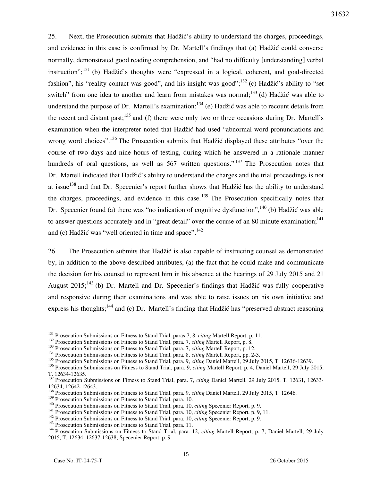25. Next, the Prosecution submits that Hadžić's ability to understand the charges, proceedings, and evidence in this case is confirmed by Dr. Martell's findings that (a) Hadžić could converse normally, demonstrated good reading comprehension, and "had no difficulty [understanding] verbal instruction";<sup>131</sup> (b) Hadžić's thoughts were "expressed in a logical, coherent, and goal-directed fashion", his "reality contact was good", and his insight was good"; $^{132}$  (c) Hadžić's ability to "set switch" from one idea to another and learn from mistakes was normal;<sup>133</sup> (d) Hadžić was able to understand the purpose of Dr. Martell's examination;  $134$  (e) Hadžić was able to recount details from the recent and distant past;<sup>135</sup> and (f) there were only two or three occasions during Dr. Martell's examination when the interpreter noted that Hadžić had used "abnormal word pronunciations and wrong word choices".<sup>136</sup> The Prosecution submits that Hadžić displayed these attributes "over the course of two days and nine hours of testing, during which he answered in a rationale manner hundreds of oral questions, as well as 567 written questions."<sup>137</sup> The Prosecution notes that Dr. Martell indicated that Hadžić's ability to understand the charges and the trial proceedings is not at issue<sup>138</sup> and that Dr. Specenier's report further shows that Hadžić has the ability to understand the charges, proceedings, and evidence in this case.<sup>139</sup> The Prosecution specifically notes that Dr. Specenier found (a) there was "no indication of cognitive dysfunction",  $^{140}$  (b) Hadžić was able to answer questions accurately and in "great detail" over the course of an 80 minute examination;<sup>141</sup> and (c) Hadžić was "well oriented in time and space". $142$ 

26. The Prosecution submits that Hadžić is also capable of instructing counsel as demonstrated by, in addition to the above described attributes, (a) the fact that he could make and communicate the decision for his counsel to represent him in his absence at the hearings of 29 July 2015 and 21 August 2015;<sup>143</sup> (b) Dr. Martell and Dr. Specenier's findings that Hadžić was fully cooperative and responsive during their examinations and was able to raise issues on his own initiative and express his thoughts;<sup>144</sup> and (c) Dr. Martell's finding that Hadžić has "preserved abstract reasoning

<sup>131</sup> Prosecution Submissions on Fitness to Stand Trial, paras 7, 8, *citing* Martell Report, p. 11.

<sup>132</sup> Prosecution Submissions on Fitness to Stand Trial, para. 7, *citing* Martell Report, p. 8.

<sup>133</sup> Prosecution Submissions on Fitness to Stand Trial, para. 7, *citing* Martell Report, p. 12.

<sup>134</sup> Prosecution Submissions on Fitness to Stand Trial, para. 8, *citing* Martell Report, pp. 2-3.

<sup>&</sup>lt;sup>135</sup> Prosecution Submissions on Fitness to Stand Trial, para. 9, *citing* Daniel Martell, 29 July 2015, T. 12636-12639.

<sup>136</sup> Prosecution Submissions on Fitness to Stand Trial, para. 9, *citing* Martell Report, p. 4, Daniel Martell, 29 July 2015, T. 12634-12635.

<sup>137</sup> Prosecution Submissions on Fitness to Stand Trial, para. 7, *citing* Daniel Martell, 29 July 2015, T. 12631, 12633- 12634, 12642-12643.

<sup>138</sup> Prosecution Submissions on Fitness to Stand Trial, para. 9, *citing* Daniel Martell, 29 July 2015, T. 12646.

<sup>&</sup>lt;sup>139</sup> Prosecution Submissions on Fitness to Stand Trial, para. 10.

<sup>140</sup> Prosecution Submissions on Fitness to Stand Trial, para. 10, *citing* Specenier Report, p. 9.

<sup>141</sup> Prosecution Submissions on Fitness to Stand Trial, para. 10, *citing* Specenier Report, p. 9, 11.

<sup>142</sup> Prosecution Submissions on Fitness to Stand Trial, para. 10, *citing* Specenier Report, p. 9.

<sup>&</sup>lt;sup>143</sup> Prosecution Submissions on Fitness to Stand Trial, para. 11.

<sup>144</sup> Prosecution Submissions on Fitness to Stand Trial, para. 12, *citing* Martell Report, p. 7; Daniel Martell, 29 July 2015, T. 12634, 12637-12638; Specenier Report, p. 9.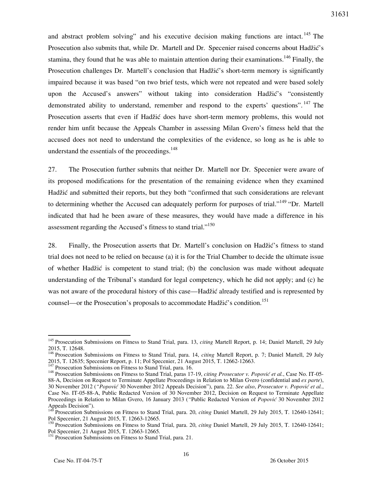31631

and abstract problem solving" and his executive decision making functions are intact.<sup>145</sup> The Prosecution also submits that, while Dr. Martell and Dr. Specenier raised concerns about Hadžić's stamina, they found that he was able to maintain attention during their examinations.<sup>146</sup> Finally, the Prosecution challenges Dr. Martell's conclusion that Hadžić's short-term memory is significantly impaired because it was based "on two brief tests, which were not repeated and were based solely upon the Accused's answers" without taking into consideration Hadžić's "consistently demonstrated ability to understand, remember and respond to the experts' questions". <sup>147</sup> The Prosecution asserts that even if Hadžić does have short-term memory problems, this would not render him unfit because the Appeals Chamber in assessing Milan Gvero's fitness held that the accused does not need to understand the complexities of the evidence, so long as he is able to understand the essentials of the proceedings. $148$ 

27. The Prosecution further submits that neither Dr. Martell nor Dr. Specenier were aware of its proposed modifications for the presentation of the remaining evidence when they examined Hadžić and submitted their reports, but they both "confirmed that such considerations are relevant to determining whether the Accused can adequately perform for purposes of trial."<sup>149</sup> "Dr. Martell indicated that had he been aware of these measures, they would have made a difference in his assessment regarding the Accused's fitness to stand trial."<sup>150</sup>

28. Finally, the Prosecution asserts that Dr. Martell's conclusion on Hadžić's fitness to stand trial does not need to be relied on because (a) it is for the Trial Chamber to decide the ultimate issue of whether Hadžić is competent to stand trial; (b) the conclusion was made without adequate understanding of the Tribunal's standard for legal competency, which he did not apply; and (c) he was not aware of the procedural history of this case—Hadžić already testified and is represented by counsel—or the Prosecution's proposals to accommodate Hadžić's condition.<sup>151</sup>

<sup>145</sup> Prosecution Submissions on Fitness to Stand Trial, para. 13, *citing* Martell Report, p. 14; Daniel Martell, 29 July 2015, T. 12648.

<sup>146</sup> Prosecution Submissions on Fitness to Stand Trial, para. 14, *citing* Martell Report, p. 7; Daniel Martell, 29 July 2015, T. 12635; Specenier Report, p. 11; Pol Specenier, 21 August 2015, T. 12662-12663.

<sup>&</sup>lt;sup>147</sup> Prosecution Submissions on Fitness to Stand Trial, para. 16.

<sup>148</sup> Prosecution Submissions on Fitness to Stand Trial, paras 17-19, *citing Prosecutor v. Popović et al.*, Case No. IT-05- 88-A, Decision on Request to Terminate Appellate Proceedings in Relation to Milan Gvero (confidential and *ex parte*), 30 November 2012 (*"Popović* 30 November 2012 Appeals Decision"), para. 22. *See also*, *Prosecutor v. Popović et al.*, Case No. IT-05-88-A, Public Redacted Version of 30 November 2012, Decision on Request to Terminate Appellate Proceedings in Relation to Milan Gvero, 16 January 2013 (*"*Public Redacted Version of *Popović* 30 November 2012 Appeals Decision").

<sup>&</sup>lt;sup>149</sup> Prosecution Submissions on Fitness to Stand Trial, para. 20, *citing Daniel Martell*, 29 July 2015, T. 12640-12641; Pol Specenier, 21 August 2015, T. 12663-12665.

<sup>&</sup>lt;sup>150</sup> Prosecution Submissions on Fitness to Stand Trial, para. 20, *citing Daniel Martell*, 29 July 2015, T. 12640-12641; Pol Specenier, 21 August 2015, T. 12663-12665.

<sup>&</sup>lt;sup>151</sup> Prosecution Submissions on Fitness to Stand Trial, para. 21.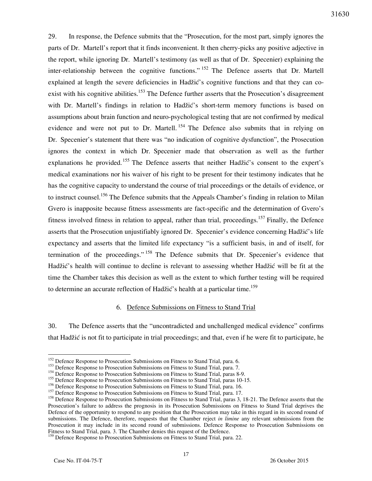29. In response, the Defence submits that the "Prosecution, for the most part, simply ignores the parts of Dr. Martell's report that it finds inconvenient. It then cherry-picks any positive adjective in the report, while ignoring Dr. Martell's testimony (as well as that of Dr. Specenier) explaining the inter-relationship between the cognitive functions." <sup>152</sup> The Defence asserts that Dr. Martell explained at length the severe deficiencies in Hadžić's cognitive functions and that they can coexist with his cognitive abilities.<sup>153</sup> The Defence further asserts that the Prosecution's disagreement with Dr. Martell's findings in relation to Hadžić's short-term memory functions is based on assumptions about brain function and neuro-psychological testing that are not confirmed by medical evidence and were not put to Dr. Martell.<sup>154</sup> The Defence also submits that in relying on Dr. Specenier's statement that there was "no indication of cognitive dysfunction", the Prosecution ignores the context in which Dr. Specenier made that observation as well as the further explanations he provided.<sup>155</sup> The Defence asserts that neither Hadžić's consent to the expert's medical examinations nor his waiver of his right to be present for their testimony indicates that he has the cognitive capacity to understand the course of trial proceedings or the details of evidence, or to instruct counsel.<sup>156</sup> The Defence submits that the Appeals Chamber's finding in relation to Milan Gvero is inapposite because fitness assessments are fact-specific and the determination of Gvero's fitness involved fitness in relation to appeal, rather than trial, proceedings.<sup>157</sup> Finally, the Defence asserts that the Prosecution unjustifiably ignored Dr. Specenier's evidence concerning Hadžić's life expectancy and asserts that the limited life expectancy "is a sufficient basis, in and of itself, for termination of the proceedings." <sup>158</sup> The Defence submits that Dr. Specenier's evidence that Hadžić's health will continue to decline is relevant to assessing whether Hadžić will be fit at the time the Chamber takes this decision as well as the extent to which further testing will be required to determine an accurate reflection of Hadžić's health at a particular time.<sup>159</sup>

#### 6. Defence Submissions on Fitness to Stand Trial

30. The Defence asserts that the "uncontradicted and unchallenged medical evidence" confirms that Had`i} is not fit to participate in trial proceedings; and that, even if he were fit to participate, he

<sup>&</sup>lt;sup>152</sup> Defence Response to Prosecution Submissions on Fitness to Stand Trial, para. 6.

<sup>&</sup>lt;sup>153</sup> Defence Response to Prosecution Submissions on Fitness to Stand Trial, para. 7.

<sup>&</sup>lt;sup>154</sup> Defence Response to Prosecution Submissions on Fitness to Stand Trial, paras 8-9.

<sup>&</sup>lt;sup>155</sup> Defence Response to Prosecution Submissions on Fitness to Stand Trial, paras 10-15.

<sup>&</sup>lt;sup>156</sup> Defence Response to Prosecution Submissions on Fitness to Stand Trial, para. 16.

<sup>&</sup>lt;sup>157</sup> Defence Response to Prosecution Submissions on Fitness to Stand Trial, para. 17.

<sup>&</sup>lt;sup>158</sup> Defence Response to Prosecution Submissions on Fitness to Stand Trial, paras 3, 18-21. The Defence asserts that the Prosecution's failure to address the prognosis in its Prosecution Submissions on Fitness to Stand Trial deprives the Defence of the opportunity to respond to any position that the Prosecution may take in this regard in its second round of submissions. The Defence, therefore, requests that the Chamber reject *in limine* any relevant submissions from the Prosecution it may include in its second round of submissions. Defence Response to Prosecution Submissions on Fitness to Stand Trial, para. 3. The Chamber denies this request of the Defence.

<sup>&</sup>lt;sup>159</sup> Defence Response to Prosecution Submissions on Fitness to Stand Trial, para. 22.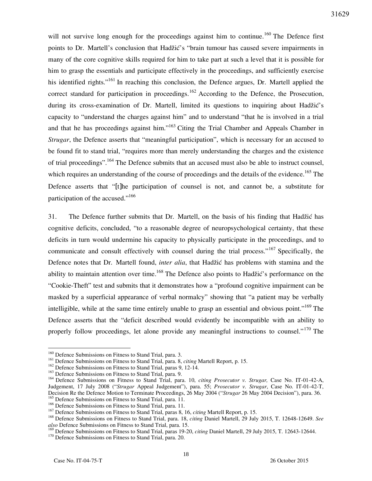will not survive long enough for the proceedings against him to continue.<sup>160</sup> The Defence first points to Dr. Martell's conclusion that Hadžić's "brain tumour has caused severe impairments in many of the core cognitive skills required for him to take part at such a level that it is possible for him to grasp the essentials and participate effectively in the proceedings, and sufficiently exercise his identified rights."<sup>161</sup> In reaching this conclusion, the Defence argues, Dr. Martell applied the correct standard for participation in proceedings.<sup>162</sup> According to the Defence, the Prosecution, during its cross-examination of Dr. Martell, limited its questions to inquiring about Hadžić's capacity to "understand the charges against him" and to understand "that he is involved in a trial and that he has proceedings against him."<sup>163</sup> Citing the Trial Chamber and Appeals Chamber in *Strugar*, the Defence asserts that "meaningful participation", which is necessary for an accused to be found fit to stand trial, "requires more than merely understanding the charges and the existence of trial proceedings".<sup>164</sup> The Defence submits that an accused must also be able to instruct counsel, which requires an understanding of the course of proceedings and the details of the evidence.<sup>165</sup> The Defence asserts that "[t]he participation of counsel is not, and cannot be, a substitute for participation of the accused."<sup>166</sup>

31. The Defence further submits that Dr. Martell, on the basis of his finding that Hadžić has cognitive deficits, concluded, "to a reasonable degree of neuropsychological certainty, that these deficits in turn would undermine his capacity to physically participate in the proceedings, and to communicate and consult effectively with counsel during the trial process."<sup>167</sup> Specifically, the Defence notes that Dr. Martell found, *inter alia*, that Hadžić has problems with stamina and the ability to maintain attention over time.<sup>168</sup> The Defence also points to Hadžić's performance on the "Cookie-Theft" test and submits that it demonstrates how a "profound cognitive impairment can be masked by a superficial appearance of verbal normalcy" showing that "a patient may be verbally intelligible, while at the same time entirely unable to grasp an essential and obvious point."<sup>169</sup> The Defence asserts that the "deficit described would evidently be incompatible with an ability to properly follow proceedings, let alone provide any meaningful instructions to counsel."<sup>170</sup> The

<sup>&</sup>lt;sup>160</sup> Defence Submissions on Fitness to Stand Trial, para. 3.

<sup>161</sup> Defence Submissions on Fitness to Stand Trial, para. 8, *citing* Martell Report, p. 15.

<sup>&</sup>lt;sup>162</sup> Defence Submissions on Fitness to Stand Trial, paras 9, 12-14.

<sup>&</sup>lt;sup>163</sup> Defence Submissions on Fitness to Stand Trial, para. 9.

<sup>164</sup> Defence Submissions on Fitness to Stand Trial, para. 10, *citing Prosecutor v. Strugar,* Case No. IT-01-42-A, Judgement, 17 July 2008 ("*Strugar* Appeal Judgement"), para. 55; *Prosecutor v. Strugar*, Case No. IT-01-42-T, Decision Re the Defence Motion to Terminate Proceedings, 26 May 2004 ("*Strugar* 26 May 2004 Decision"), para. 36. <sup>165</sup> Defence Submissions on Fitness to Stand Trial, para. 11.

<sup>&</sup>lt;sup>166</sup> Defence Submissions on Fitness to Stand Trial, para. 11.

<sup>167</sup> Defence Submissions on Fitness to Stand Trial, paras 8, 16, *citing* Martell Report, p. 15.

<sup>168</sup> Defence Submissions on Fitness to Stand Trial, para. 18, *citing* Daniel Martell, 29 July 2015, T. 12648-12649. *See also* Defence Submissions on Fitness to Stand Trial, para. 15.

<sup>169</sup> Defence Submissions on Fitness to Stand Trial, paras 19-20, *citing* Daniel Martell, 29 July 2015, T. 12643-12644.

<sup>&</sup>lt;sup>170</sup> Defence Submissions on Fitness to Stand Trial, para. 20.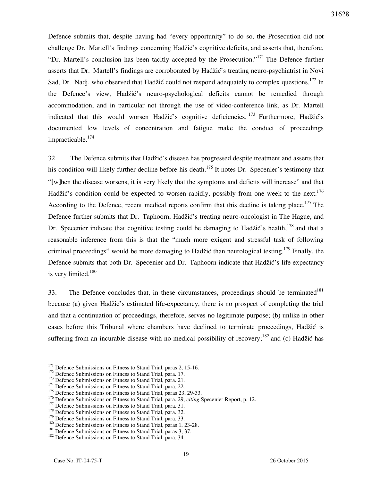Defence submits that, despite having had "every opportunity" to do so, the Prosecution did not challenge Dr. Martell's findings concerning Hadžić's cognitive deficits, and asserts that, therefore, "Dr. Martell's conclusion has been tacitly accepted by the Prosecution."<sup>171</sup> The Defence further asserts that Dr. Martell's findings are corroborated by Hadžić's treating neuro-psychiatrist in Novi Sad, Dr. Nadj, who observed that Hadžić could not respond adequately to complex questions.<sup>172</sup> In the Defence's view, Hadžić's neuro-psychological deficits cannot be remedied through accommodation, and in particular not through the use of video-conference link, as Dr. Martell indicated that this would worsen Hadžić's cognitive deficiencies. <sup>173</sup> Furthermore, Hadžić's documented low levels of concentration and fatigue make the conduct of proceedings impracticable.<sup>174</sup>

32. The Defence submits that Hadžić's disease has progressed despite treatment and asserts that his condition will likely further decline before his death.<sup>175</sup> It notes Dr. Specenier's testimony that "[w]hen the disease worsens, it is very likely that the symptoms and deficits will increase" and that Hadžić's condition could be expected to worsen rapidly, possibly from one week to the next.<sup>176</sup> According to the Defence, recent medical reports confirm that this decline is taking place.<sup>177</sup> The Defence further submits that Dr. Taphoorn, Hadžić's treating neuro-oncologist in The Hague, and Dr. Specenier indicate that cognitive testing could be damaging to Hadžić's health,  $^{178}$  and that a reasonable inference from this is that the "much more exigent and stressful task of following criminal proceedings" would be more damaging to Hadžić than neurological testing.<sup>179</sup> Finally, the Defence submits that both Dr. Specenier and Dr. Taphoorn indicate that Hadžić's life expectancy is very limited.<sup>180</sup>

33. The Defence concludes that, in these circumstances, proceedings should be terminated<sup>181</sup> because (a) given Hadžić's estimated life-expectancy, there is no prospect of completing the trial and that a continuation of proceedings, therefore, serves no legitimate purpose; (b) unlike in other cases before this Tribunal where chambers have declined to terminate proceedings, Hadžić is suffering from an incurable disease with no medical possibility of recovery;  $182$  and (c) Hadžić has

<sup>&</sup>lt;sup>171</sup> Defence Submissions on Fitness to Stand Trial, paras 2, 15-16.

<sup>&</sup>lt;sup>172</sup> Defence Submissions on Fitness to Stand Trial, para. 17.

<sup>&</sup>lt;sup>173</sup> Defence Submissions on Fitness to Stand Trial, para. 21.

<sup>&</sup>lt;sup>174</sup> Defence Submissions on Fitness to Stand Trial, para. 22.

<sup>&</sup>lt;sup>175</sup> Defence Submissions on Fitness to Stand Trial, paras 23, 29-33.

<sup>176</sup> Defence Submissions on Fitness to Stand Trial, para. 29, *citing* Specenier Report, p. 12.

<sup>&</sup>lt;sup>177</sup> Defence Submissions on Fitness to Stand Trial, para. 31.

<sup>&</sup>lt;sup>178</sup> Defence Submissions on Fitness to Stand Trial, para. 32.

<sup>&</sup>lt;sup>179</sup> Defence Submissions on Fitness to Stand Trial, para. 33.

<sup>&</sup>lt;sup>180</sup> Defence Submissions on Fitness to Stand Trial, paras 1, 23-28.

<sup>&</sup>lt;sup>181</sup> Defence Submissions on Fitness to Stand Trial, paras 3, 37.

<sup>&</sup>lt;sup>182</sup> Defence Submissions on Fitness to Stand Trial, para. 34.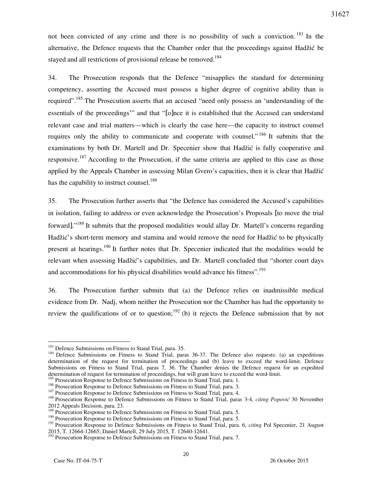not been convicted of any crime and there is no possibility of such a conviction.<sup>183</sup> In the alternative, the Defence requests that the Chamber order that the proceedings against Hadžić be stayed and all restrictions of provisional release be removed.<sup>184</sup>

34. The Prosecution responds that the Defence "misapplies the standard for determining competency, asserting the Accused must possess a higher degree of cognitive ability than is required".<sup>185</sup> The Prosecution asserts that an accused "need only possess an 'understanding of the essentials of the proceedings'" and that "[o]nce it is established that the Accused can understand relevant case and trial matters—which is clearly the case here—the capacity to instruct counsel requires only the ability to communicate and cooperate with counsel."<sup>186</sup> It submits that the examinations by both Dr. Martell and Dr. Specenier show that Hadžić is fully cooperative and responsive.<sup>187</sup> According to the Prosecution, if the same criteria are applied to this case as those applied by the Appeals Chamber in assessing Milan Gvero's capacities, then it is clear that Hadžić has the capability to instruct counsel.<sup>188</sup>

35. The Prosecution further asserts that "the Defence has considered the Accused's capabilities in isolation, failing to address or even acknowledge the Prosecution's Proposals [to move the trial forward]."<sup>189</sup> It submits that the proposed modalities would allay Dr. Martell's concerns regarding Hadžić's short-term memory and stamina and would remove the need for Hadžić to be physically present at hearings.<sup>190</sup> It further notes that Dr. Specenier indicated that the modalities would be relevant when assessing Hadžić's capabilities, and Dr. Martell concluded that "shorter court days and accommodations for his physical disabilities would advance his fitness".<sup>191</sup>

36. The Prosecution further submits that (a) the Defence relies on inadmissible medical evidence from Dr. Nadj, whom neither the Prosecution nor the Chamber has had the opportunity to review the qualifications of or to question;  $192$  (b) it rejects the Defence submission that by not

<sup>&</sup>lt;sup>183</sup> Defence Submissions on Fitness to Stand Trial, para. 35.

<sup>&</sup>lt;sup>184</sup> Defence Submissions on Fitness to Stand Trial, paras 36-37. The Defence also requests: (a) an expeditious determination of the request for termination of proceedings and (b) leave to exceed the word-limit. Defence Submissions on Fitness to Stand Trial, paras 7, 36. The Chamber denies the Defence request for an expedited determination of request for termination of proceedings, but will grant leave to exceed the word-limit.

<sup>&</sup>lt;sup>185</sup> Prosecution Response to Defence Submissions on Fitness to Stand Trial, para. 1.

<sup>&</sup>lt;sup>186</sup> Prosecution Response to Defence Submissions on Fitness to Stand Trial, para. 3.

<sup>&</sup>lt;sup>187</sup> Prosecution Response to Defence Submissions on Fitness to Stand Trial, para. 4.

<sup>188</sup> Prosecution Response to Defence Submissions on Fitness to Stand Trial, paras 3-4, *citing Popović* 30 November 2012 Appeals Decision, para. 23.

<sup>&</sup>lt;sup>189</sup> Prosecution Response to Defence Submissions on Fitness to Stand Trial, para. 5.

<sup>190</sup> Prosecution Response to Defence Submissions on Fitness to Stand Trial, para. 5.

<sup>191</sup> Prosecution Response to Defence Submissions on Fitness to Stand Trial, para. 6, *citing* Pol Specenier, 21 August 2015, T. 12664-12665; Daniel Martell, 29 July 2015, T. 12640-12641.

<sup>&</sup>lt;sup>192</sup> Prosecution Response to Defence Submissions on Fitness to Stand Trial, para. 7.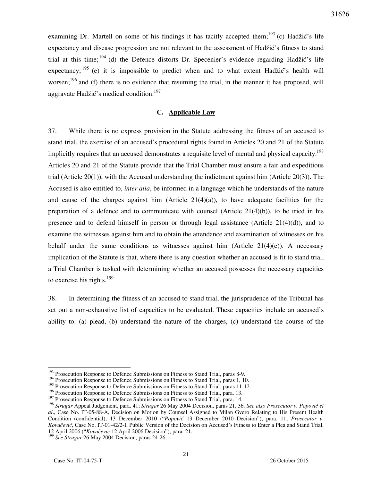examining Dr. Martell on some of his findings it has tacitly accepted them;<sup>193</sup> (c) Hadžić's life expectancy and disease progression are not relevant to the assessment of Hadžić's fitness to stand trial at this time;  $194$  (d) the Defence distorts Dr. Specenier's evidence regarding Hadžić's life expectancy;  $195$  (e) it is impossible to predict when and to what extent Hadžić's health will worsen;<sup>196</sup> and (f) there is no evidence that resuming the trial, in the manner it has proposed, will

aggravate Hadžić's medical condition.<sup>197</sup>

### **C. Applicable Law**

37. While there is no express provision in the Statute addressing the fitness of an accused to stand trial, the exercise of an accused's procedural rights found in Articles 20 and 21 of the Statute implicitly requires that an accused demonstrates a requisite level of mental and physical capacity.<sup>198</sup> Articles 20 and 21 of the Statute provide that the Trial Chamber must ensure a fair and expeditious trial (Article 20(1)), with the Accused understanding the indictment against him (Article 20(3)). The Accused is also entitled to, *inter alia*, be informed in a language which he understands of the nature and cause of the charges against him (Article  $21(4)(a)$ ), to have adequate facilities for the preparation of a defence and to communicate with counsel  $(A$ rticle  $21(4)(b)$ ), to be tried in his presence and to defend himself in person or through legal assistance (Article 21(4)(d)), and to examine the witnesses against him and to obtain the attendance and examination of witnesses on his behalf under the same conditions as witnesses against him (Article 21(4)(e)). A necessary implication of the Statute is that, where there is any question whether an accused is fit to stand trial, a Trial Chamber is tasked with determining whether an accused possesses the necessary capacities to exercise his rights. $199$ 

38. In determining the fitness of an accused to stand trial, the jurisprudence of the Tribunal has set out a non-exhaustive list of capacities to be evaluated. These capacities include an accused's ability to: (a) plead, (b) understand the nature of the charges, (c) understand the course of the

<sup>&</sup>lt;sup>193</sup> Prosecution Response to Defence Submissions on Fitness to Stand Trial, paras 8-9.

<sup>&</sup>lt;sup>194</sup> Prosecution Response to Defence Submissions on Fitness to Stand Trial, paras 1, 10.

<sup>&</sup>lt;sup>195</sup> Prosecution Response to Defence Submissions on Fitness to Stand Trial, paras 11-12.

<sup>&</sup>lt;sup>196</sup> Prosecution Response to Defence Submissions on Fitness to Stand Trial, para. 13.

<sup>&</sup>lt;sup>197</sup> Prosecution Response to Defence Submissions on Fitness to Stand Trial, para. 14.

<sup>&</sup>lt;sup>198</sup> Strugar Appeal Judgement, para. 41; *Strugar* 26 May 2004 Decision, paras 21, 36. *See also Prosecutor v. Popović et al*., Case No. IT-05-88-A, Decision on Motion by Counsel Assigned to Milan Gvero Relating to His Present Health Condition (confidential), 13 December 2010 ("*Popović* 13 December 2010 Decision"), para. 11; *Prosecutor v*. *Kovačević*, Case No. IT-01-42/2-I, Public Version of the Decision on Accused's Fitness to Enter a Plea and Stand Trial, 12 April 2006 ("*Kovačević* 12 April 2006 Decision"), para. 21.

<sup>199</sup> *See Strugar* 26 May 2004 Decision, paras 24-26.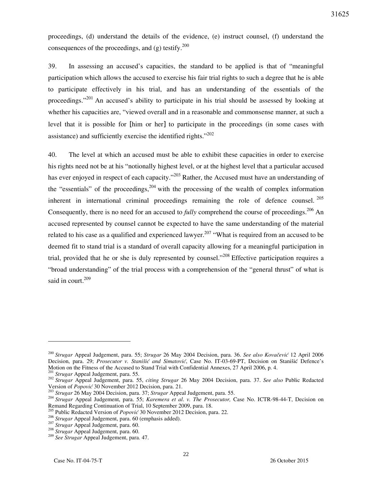proceedings, (d) understand the details of the evidence, (e) instruct counsel, (f) understand the consequences of the proceedings, and  $(g)$  testify.<sup>200</sup>

39. In assessing an accused's capacities, the standard to be applied is that of "meaningful participation which allows the accused to exercise his fair trial rights to such a degree that he is able to participate effectively in his trial, and has an understanding of the essentials of the proceedings."<sup>201</sup> An accused's ability to participate in his trial should be assessed by looking at whether his capacities are, "viewed overall and in a reasonable and commonsense manner, at such a level that it is possible for [him or her] to participate in the proceedings (in some cases with assistance) and sufficiently exercise the identified rights." $202$ 

40. The level at which an accused must be able to exhibit these capacities in order to exercise his rights need not be at his "notionally highest level, or at the highest level that a particular accused has ever enjoyed in respect of each capacity."<sup>203</sup> Rather, the Accused must have an understanding of the "essentials" of the proceedings,<sup>204</sup> with the processing of the wealth of complex information inherent in international criminal proceedings remaining the role of defence counsel.  $^{205}$ Consequently, there is no need for an accused to *fully* comprehend the course of proceedings.<sup>206</sup> An accused represented by counsel cannot be expected to have the same understanding of the material related to his case as a qualified and experienced lawyer.<sup>207</sup> "What is required from an accused to be deemed fit to stand trial is a standard of overall capacity allowing for a meaningful participation in trial, provided that he or she is duly represented by counsel.<sup>"208</sup> Effective participation requires a "broad understanding" of the trial process with a comprehension of the "general thrust" of what is said in court.<sup>209</sup>

<sup>&</sup>lt;sup>200</sup> Strugar Appeal Judgement, para. 55; *Strugar* 26 May 2004 Decision, para. 36. *See also Kovačević* 12 April 2006 Decision, para. 29; *Prosecutor v. Stanišić and Simatović*, Case No. IT-03-69-PT, Decision on Stanišić Defence's Motion on the Fitness of the Accused to Stand Trial with Confidential Annexes, 27 April 2006, p. 4.

<sup>201</sup> *Strugar* Appeal Judgement, para. 55.

<sup>202</sup> *Strugar* Appeal Judgement, para. 55, *citing Strugar* 26 May 2004 Decision, para. 37. *See also* Public Redacted Version of *Popović* 30 November 2012 Decision, para. 21.

<sup>203</sup> *Strugar* 26 May 2004 Decision, para. 37; *Strugar* Appeal Judgement, para. 55.

<sup>204</sup> *Strugar* Appeal Judgement, para. 55; *Karemera et al*. *v. The Prosecutor,* Case No. ICTR-98-44-T, Decision on Remand Regarding Continuation of Trial, 10 September 2009, para. 18.

<sup>&</sup>lt;sup>55</sup> Public Redacted Version of *Popović* 30 November 2012 Decision, para. 22.

<sup>206</sup> *Strugar* Appeal Judgement, para. 60 (emphasis added).

<sup>&</sup>lt;sup>207</sup> *Strugar* Appeal Judgement, para. 60.

<sup>208</sup> *Strugar* Appeal Judgement, para. 60.

<sup>209</sup> *See Strugar* Appeal Judgement, para. 47.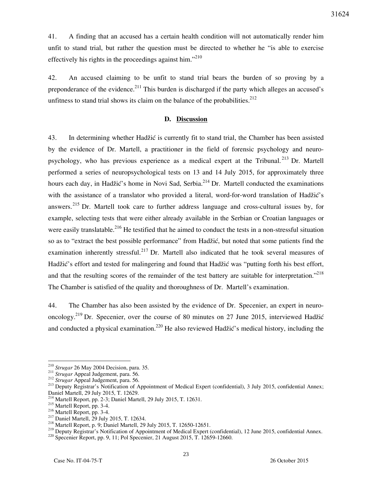41. A finding that an accused has a certain health condition will not automatically render him unfit to stand trial, but rather the question must be directed to whether he "is able to exercise effectively his rights in the proceedings against him. $^{210}$ 

42. An accused claiming to be unfit to stand trial bears the burden of so proving by a preponderance of the evidence.<sup>211</sup> This burden is discharged if the party which alleges an accused's unfitness to stand trial shows its claim on the balance of the probabilities.<sup>212</sup>

## **D. Discussion**

43. In determining whether Hadžić is currently fit to stand trial, the Chamber has been assisted by the evidence of Dr. Martell, a practitioner in the field of forensic psychology and neuropsychology, who has previous experience as a medical expert at the Tribunal. <sup>213</sup> Dr. Martell performed a series of neuropsychological tests on 13 and 14 July 2015, for approximately three hours each day, in Hadžić's home in Novi Sad, Serbia.<sup>214</sup> Dr. Martell conducted the examinations with the assistance of a translator who provided a literal, word-for-word translation of Hadžić's answers.<sup>215</sup> Dr. Martell took care to further address language and cross-cultural issues by, for example, selecting tests that were either already available in the Serbian or Croatian languages or were easily translatable.<sup>216</sup> He testified that he aimed to conduct the tests in a non-stressful situation so as to "extract the best possible performance" from Hadžić, but noted that some patients find the examination inherently stressful.<sup>217</sup> Dr. Martell also indicated that he took several measures of Hadžić's effort and tested for malingering and found that Hadžić was "putting forth his best effort, and that the resulting scores of the remainder of the test battery are suitable for interpretation."<sup>218</sup> The Chamber is satisfied of the quality and thoroughness of Dr. Martell's examination.

44. The Chamber has also been assisted by the evidence of Dr. Specenier, an expert in neurooncology.<sup>219</sup> Dr. Specenier, over the course of 80 minutes on 27 June 2015, interviewed Hadžić and conducted a physical examination.<sup>220</sup> He also reviewed Hadžić's medical history, including the

<sup>210</sup> *Strugar* 26 May 2004 Decision, para. 35.

<sup>211</sup> *Strugar* Appeal Judgement, para. 56.

<sup>212</sup> *Strugar* Appeal Judgement, para. 56.

<sup>&</sup>lt;sup>213</sup> Deputy Registrar's Notification of Appointment of Medical Expert (confidential), 3 July 2015, confidential Annex; Daniel Martell, 29 July 2015, T. 12629.

<sup>214</sup> Martell Report, pp. 2-3; Daniel Martell, 29 July 2015, T. 12631.

<sup>215</sup> Martell Report, pp. 3-4.

<sup>216</sup> Martell Report, pp. 3-4.

<sup>&</sup>lt;sup>217</sup> Daniel Martell, 29 July 2015, T. 12634.

<sup>218</sup> Martell Report, p. 9; Daniel Martell, 29 July 2015, T. 12650-12651.

<sup>&</sup>lt;sup>219</sup> Deputy Registrar's Notification of Appointment of Medical Expert (confidential), 12 June 2015, confidential Annex.

<sup>220</sup> Specenier Report, pp. 9, 11; Pol Specenier, 21 August 2015, T. 12659-12660.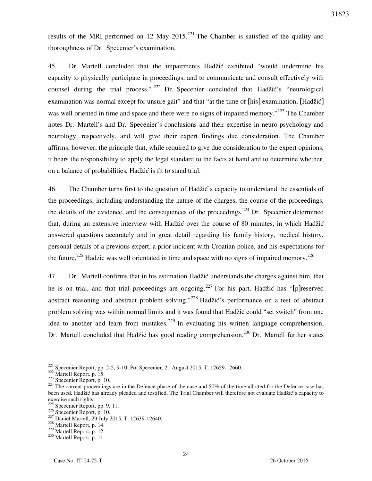results of the MRI performed on 12 May 2015.<sup>221</sup> The Chamber is satisfied of the quality and thoroughness of Dr. Specenier's examination.

45. Dr. Martell concluded that the impairments Hadžić exhibited "would undermine his capacity to physically participate in proceedings, and to communicate and consult effectively with counsel during the trial process." <sup>222</sup> Dr. Specenier concluded that Hadžić's "neurological examination was normal except for unsure gait" and that "at the time of [his] examination, [Hadžić] was well oriented in time and space and there were no signs of impaired memory."<sup>223</sup> The Chamber notes Dr. Martell's and Dr. Specenier's conclusions and their expertise in neuro-psychology and neurology, respectively, and will give their expert findings due consideration. The Chamber affirms, however, the principle that, while required to give due consideration to the expert opinions, it bears the responsibility to apply the legal standard to the facts at hand and to determine whether, on a balance of probabilities, Hadžić is fit to stand trial.

46. The Chamber turns first to the question of Hadžić's capacity to understand the essentials of the proceedings, including understanding the nature of the charges, the course of the proceedings, the details of the evidence, and the consequences of the proceedings.<sup>224</sup> Dr. Specenier determined that, during an extensive interview with Hadžić over the course of 80 minutes, in which Hadžić answered questions accurately and in great detail regarding his family history, medical history, personal details of a previous expert, a prior incident with Croatian police, and his expectations for the future,  $225$  Hadzic was well orientated in time and space with no signs of impaired memory.  $226$ 

47. Dr. Martell confirms that in his estimation Hadžić understands the charges against him, that he is on trial, and that trial proceedings are ongoing.<sup>227</sup> For his part, Hadžić has "[p]reserved abstract reasoning and abstract problem solving."<sup>228</sup> Hadžić's performance on a test of abstract problem solving was within normal limits and it was found that Hadžić could "set switch" from one idea to another and learn from mistakes.<sup>229</sup> In evaluating his written language comprehension, Dr. Martell concluded that Hadžić has good reading comprehension.<sup>230</sup> Dr. Martell further states

 $221$  Specenier Report, pp. 2-5, 9-10; Pol Specenier, 21 August 2015, T. 12659-12660.

 $222$  Martell Report, p. 15.

<sup>223</sup> Specenier Report, p. 10.

 $224$  The current proceedings are in the Defence phase of the case and 50% of the time allotted for the Defence case has been used. Hadžić has already pleaded and testified. The Trial Chamber will therefore not evaluate Hadžić's capacity to exercise such rights.

Specenier Report, pp. 9, 11.

 $226$  Specenier Report, p. 10.

<sup>&</sup>lt;sup>227</sup> Daniel Martell, 29 July 2015, T. 12639-12640.

<sup>228</sup> Martell Report, p. 14.

<sup>229</sup> Martell Report, p. 12.

<sup>230</sup> Martell Report, p. 11.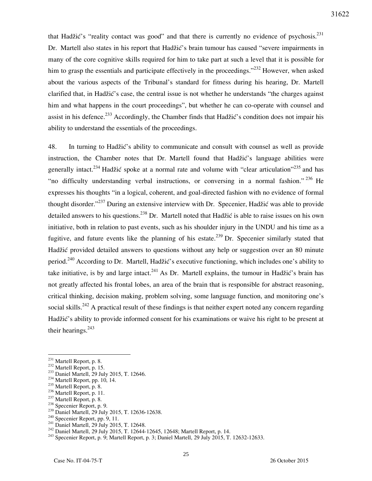that Hadžić's "reality contact was good" and that there is currently no evidence of psychosis.<sup>231</sup> Dr. Martell also states in his report that Hadžić's brain tumour has caused "severe impairments in many of the core cognitive skills required for him to take part at such a level that it is possible for him to grasp the essentials and participate effectively in the proceedings."<sup>232</sup> However, when asked about the various aspects of the Tribunal's standard for fitness during his hearing, Dr. Martell clarified that, in Hadžić's case, the central issue is not whether he understands "the charges against him and what happens in the court proceedings", but whether he can co-operate with counsel and assist in his defence.<sup>233</sup> Accordingly, the Chamber finds that Hadžić's condition does not impair his ability to understand the essentials of the proceedings.

48. In turning to Hadžić's ability to communicate and consult with counsel as well as provide instruction, the Chamber notes that Dr. Martell found that Hadžić's language abilities were generally intact.<sup>234</sup> Hadžić spoke at a normal rate and volume with "clear articulation"<sup>235</sup> and has "no difficulty understanding verbal instructions, or conversing in a normal fashion." <sup>236</sup> He expresses his thoughts "in a logical, coherent, and goal-directed fashion with no evidence of formal thought disorder."<sup>237</sup> During an extensive interview with Dr. Specenier, Hadžić was able to provide detailed answers to his questions.<sup>238</sup> Dr. Martell noted that Hadžić is able to raise issues on his own initiative, both in relation to past events, such as his shoulder injury in the UNDU and his time as a fugitive, and future events like the planning of his estate.<sup>239</sup> Dr. Specenier similarly stated that Hadžić provided detailed answers to questions without any help or suggestion over an 80 minute period.<sup>240</sup> According to Dr. Martell, Hadžić's executive functioning, which includes one's ability to take initiative, is by and large intact.<sup>241</sup> As Dr. Martell explains, the tumour in Hadžić's brain has not greatly affected his frontal lobes, an area of the brain that is responsible for abstract reasoning, critical thinking, decision making, problem solving, some language function, and monitoring one's social skills.<sup>242</sup> A practical result of these findings is that neither expert noted any concern regarding Hadžić's ability to provide informed consent for his examinations or waive his right to be present at their hearings. $243$ 

- <sup>236</sup> Martell Report, p. 11.
- <sup>237</sup> Martell Report, p. 8.
- <sup>238</sup> Specenier Report, p. 9.
- <sup>239</sup> Daniel Martell, 29 July 2015, T. 12636-12638.
- <sup>240</sup> Specenier Report, pp. 9, 11.
- <sup>241</sup> Daniel Martell, 29 July 2015, T. 12648.
- <sup>242</sup> Daniel Martell, 29 July 2015, T. 12644-12645, 12648; Martell Report, p. 14.

 $231$  Martell Report, p. 8.

<sup>&</sup>lt;sup>232</sup> Martell Report, p. 15.

<sup>&</sup>lt;sup>233</sup> Daniel Martell, 29 July 2015, T. 12646.

<sup>234</sup> Martell Report, pp. 10, 14.

<sup>&</sup>lt;sup>235</sup> Martell Report, p. 8.

<sup>&</sup>lt;sup>243</sup> Specenier Report, p. 9; Martell Report, p. 3; Daniel Martell, 29 July 2015, T. 12632-12633.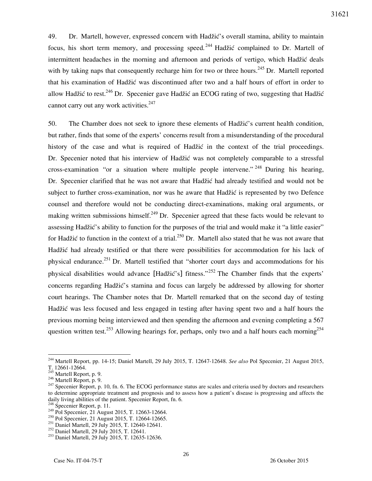49. Dr. Martell, however, expressed concern with Hadžić's overall stamina, ability to maintain focus, his short term memory, and processing speed.<sup>244</sup> Hadžić complained to Dr. Martell of intermittent headaches in the morning and afternoon and periods of vertigo, which Hadžić deals with by taking naps that consequently recharge him for two or three hours.<sup>245</sup> Dr. Martell reported that his examination of Hadžić was discontinued after two and a half hours of effort in order to allow Hadžić to rest.<sup>246</sup> Dr. Specenier gave Hadžić an ECOG rating of two, suggesting that Hadžić cannot carry out any work activities.<sup>247</sup>

50. The Chamber does not seek to ignore these elements of Hadžić's current health condition, but rather, finds that some of the experts' concerns result from a misunderstanding of the procedural history of the case and what is required of Hadžić in the context of the trial proceedings. Dr. Specenier noted that his interview of Hadžić was not completely comparable to a stressful cross-examination "or a situation where multiple people intervene." <sup>248</sup> During his hearing, Dr. Specenier clarified that he was not aware that Hadžić had already testified and would not be subject to further cross-examination, nor was he aware that Hadžić is represented by two Defence counsel and therefore would not be conducting direct-examinations, making oral arguments, or making written submissions himself.<sup>249</sup> Dr. Specenier agreed that these facts would be relevant to assessing Hadžić's ability to function for the purposes of the trial and would make it "a little easier" for Hadžić to function in the context of a trial.<sup>250</sup> Dr. Martell also stated that he was not aware that Hadžić had already testified or that there were possibilities for accommodation for his lack of physical endurance.<sup>251</sup> Dr. Martell testified that "shorter court days and accommodations for his physical disabilities would advance [Hadžić's] fitness."<sup>252</sup> The Chamber finds that the experts' concerns regarding Hadžić's stamina and focus can largely be addressed by allowing for shorter court hearings. The Chamber notes that Dr. Martell remarked that on the second day of testing Hadžić was less focused and less engaged in testing after having spent two and a half hours the previous morning being interviewed and then spending the afternoon and evening completing a 567 question written test.<sup>253</sup> Allowing hearings for, perhaps, only two and a half hours each morning<sup>254</sup>

<sup>244</sup> Martell Report, pp. 14-15; Daniel Martell, 29 July 2015, T. 12647-12648. *See also* Pol Specenier, 21 August 2015, T. 12661-12664.

<sup>&</sup>lt;sup>245</sup> Martell Report, p. 9. <sup>246</sup> Martell Report, p. 9.

 $247$  Specenier Report, p. 10, fn. 6. The ECOG performance status are scales and criteria used by doctors and researchers to determine appropriate treatment and prognosis and to assess how a patient's disease is progressing and affects the daily living abilities of the patient. Specenier Report, fn. 6.

<sup>&</sup>lt;sup>248</sup> Specenier Report, p. 11.

<sup>&</sup>lt;sup>249</sup> Pol Specenier, 21 August 2015, T. 12663-12664.

<sup>&</sup>lt;sup>250</sup> Pol Specenier, 21 August 2015, T. 12664-12665.

<sup>&</sup>lt;sup>251</sup> Daniel Martell, 29 July 2015, T. 12640-12641.

<sup>252</sup> Daniel Martell, 29 July 2015, T. 12641.

<sup>253</sup> Daniel Martell, 29 July 2015, T. 12635-12636.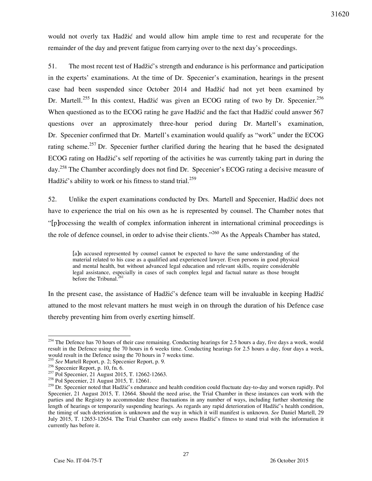would not overly tax Hadžić and would allow him ample time to rest and recuperate for the remainder of the day and prevent fatigue from carrying over to the next day's proceedings.

51. The most recent test of Hadžić's strength and endurance is his performance and participation in the experts' examinations. At the time of Dr. Specenier's examination, hearings in the present case had been suspended since October 2014 and Hadžić had not yet been examined by Dr. Martell.<sup>255</sup> In this context, Hadžić was given an ECOG rating of two by Dr. Specenier.<sup>256</sup> When questioned as to the ECOG rating he gave Hadžić and the fact that Hadžić could answer 567 questions over an approximately three-hour period during Dr. Martell's examination, Dr. Specenier confirmed that Dr. Martell's examination would qualify as "work" under the ECOG rating scheme.<sup>257</sup> Dr. Specenier further clarified during the hearing that he based the designated ECOG rating on Hadžić's self reporting of the activities he was currently taking part in during the day.<sup>258</sup> The Chamber accordingly does not find Dr. Specenier's ECOG rating a decisive measure of Hadžić's ability to work or his fitness to stand trial.<sup>259</sup>

52. Unlike the expert examinations conducted by Drs. Martell and Specenier, Hadžić does not have to experience the trial on his own as he is represented by counsel. The Chamber notes that "[p]rocessing the wealth of complex information inherent in international criminal proceedings is the role of defence counsel, in order to advise their clients."<sup>260</sup> As the Appeals Chamber has stated,

[a]n accused represented by counsel cannot be expected to have the same understanding of the material related to his case as a qualified and experienced lawyer. Even persons in good physical and mental health, but without advanced legal education and relevant skills, require considerable legal assistance, especially in cases of such complex legal and factual nature as those brought before the Tribunal. $^{261}$ 

In the present case, the assistance of Hadžić's defence team will be invaluable in keeping Hadžić attuned to the most relevant matters he must weigh in on through the duration of his Defence case thereby preventing him from overly exerting himself.

 $254$  The Defence has 70 hours of their case remaining. Conducting hearings for 2.5 hours a day, five days a week, would result in the Defence using the 70 hours in 6 weeks time. Conducting hearings for 2.5 hours a day, four days a week, would result in the Defence using the 70 hours in 7 weeks time.

<sup>255</sup> *See* Martell Report, p. 2; Specenier Report, p. 9.

 $256$  Specenier Report, p. 10, fn. 6.

 $257$  Pol Specenier, 21 August 2015, T. 12662-12663.

<sup>258</sup> Pol Specenier, 21 August 2015, T. 12661.

<sup>&</sup>lt;sup>259</sup> Dr. Specenier noted that Hadžić's endurance and health condition could fluctuate day-to-day and worsen rapidly. Pol Specenier, 21 August 2015, T. 12664. Should the need arise, the Trial Chamber in these instances can work with the parties and the Registry to accommodate these fluctuations in any number of ways, including further shortening the length of hearings or temporarily suspending hearings. As regards any rapid deterioration of Hadžić's health condition, the timing of such deterioration is unknown and the way in which it will manifest is unknown. *See* Daniel Martell, 29 July 2015, T. 12653-12654. The Trial Chamber can only assess Hadžić's fitness to stand trial with the information it currently has before it.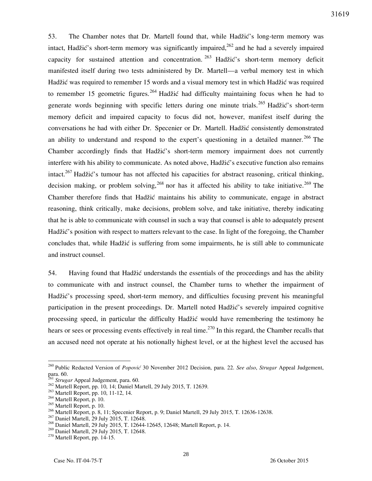53. The Chamber notes that Dr. Martell found that, while Hadžić's long-term memory was intact, Hadžić's short-term memory was significantly impaired,<sup>262</sup> and he had a severely impaired capacity for sustained attention and concentration.  $263$  Hadžić's short-term memory deficit manifested itself during two tests administered by Dr. Martell—a verbal memory test in which Hadžić was required to remember 15 words and a visual memory test in which Hadžić was required to remember 15 geometric figures.<sup>264</sup> Hadžić had difficulty maintaining focus when he had to generate words beginning with specific letters during one minute trials.<sup>265</sup> Hadžić's short-term memory deficit and impaired capacity to focus did not, however, manifest itself during the conversations he had with either Dr. Specenier or Dr. Martell. Hadžić consistently demonstrated an ability to understand and respond to the expert's questioning in a detailed manner.<sup>266</sup> The Chamber accordingly finds that Hadžić's short-term memory impairment does not currently interfere with his ability to communicate. As noted above, Hadžić's executive function also remains intact.<sup>267</sup> Hadžić's tumour has not affected his capacities for abstract reasoning, critical thinking, decision making, or problem solving,  $268$  nor has it affected his ability to take initiative.  $269$  The Chamber therefore finds that Hadžić maintains his ability to communicate, engage in abstract reasoning, think critically, make decisions, problem solve, and take initiative, thereby indicating that he is able to communicate with counsel in such a way that counsel is able to adequately present Hadžić's position with respect to matters relevant to the case. In light of the foregoing, the Chamber concludes that, while Hadžić is suffering from some impairments, he is still able to communicate and instruct counsel.

54. Having found that Hadžić understands the essentials of the proceedings and has the ability to communicate with and instruct counsel, the Chamber turns to whether the impairment of Hadžić's processing speed, short-term memory, and difficulties focusing prevent his meaningful participation in the present proceedings. Dr. Martell noted Hadžić's severely impaired cognitive processing speed, in particular the difficulty Hadžić would have remembering the testimony he hears or sees or processing events effectively in real time.<sup>270</sup> In this regard, the Chamber recalls that an accused need not operate at his notionally highest level, or at the highest level the accused has

<sup>&</sup>lt;sup>260</sup> Public Redacted Version of *Popović* 30 November 2012 Decision, para. 22. *See also*, *Strugar* Appeal Judgement, para. 60.

<sup>&</sup>lt;sup>51</sup> *Strugar* Appeal Judgement, para. 60.

<sup>262</sup> Martell Report, pp. 10, 14; Daniel Martell, 29 July 2015, T. 12639.

<sup>263</sup> Martell Report, pp. 10, 11-12, 14.

<sup>264</sup> Martell Report, p. 10.

<sup>265</sup> Martell Report, p. 10.

<sup>266</sup> Martell Report, p. 8, 11; Specenier Report, p. 9; Daniel Martell, 29 July 2015, T. 12636-12638.

<sup>&</sup>lt;sup>267</sup> Daniel Martell, 29 July 2015, T. 12648.

<sup>268</sup> Daniel Martell, 29 July 2015, T. 12644-12645, 12648; Martell Report, p. 14.

<sup>&</sup>lt;sup>269</sup> Daniel Martell, 29 July 2015, T. 12648.

<sup>270</sup> Martell Report, pp. 14-15.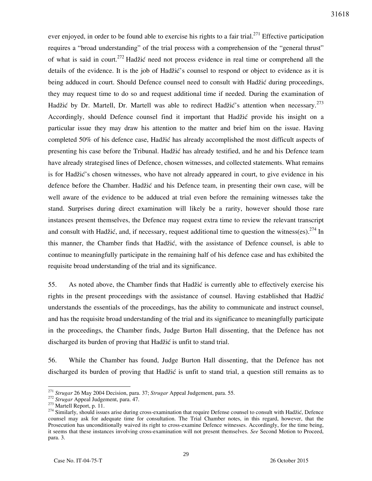ever enjoyed, in order to be found able to exercise his rights to a fair trial.<sup>271</sup> Effective participation requires a "broad understanding" of the trial process with a comprehension of the "general thrust" of what is said in court.<sup>272</sup> Hadžić need not process evidence in real time or comprehend all the details of the evidence. It is the job of Hadžić's counsel to respond or object to evidence as it is being adduced in court. Should Defence counsel need to consult with Hadžić during proceedings, they may request time to do so and request additional time if needed. During the examination of Hadžić by Dr. Martell, Dr. Martell was able to redirect Hadžić's attention when necessary.<sup>273</sup> Accordingly, should Defence counsel find it important that Hadžić provide his insight on a particular issue they may draw his attention to the matter and brief him on the issue. Having completed 50% of his defence case, Hadžić has already accomplished the most difficult aspects of presenting his case before the Tribunal. Hadžić has already testified, and he and his Defence team have already strategised lines of Defence, chosen witnesses, and collected statements. What remains is for Hadžić's chosen witnesses, who have not already appeared in court, to give evidence in his defence before the Chamber. Hadžić and his Defence team, in presenting their own case, will be well aware of the evidence to be adduced at trial even before the remaining witnesses take the stand. Surprises during direct examination will likely be a rarity, however should those rare instances present themselves, the Defence may request extra time to review the relevant transcript and consult with Hadžić, and, if necessary, request additional time to question the witness(es).  $274$  In this manner, the Chamber finds that Hadžić, with the assistance of Defence counsel, is able to continue to meaningfully participate in the remaining half of his defence case and has exhibited the requisite broad understanding of the trial and its significance.

55. As noted above, the Chamber finds that Hadžić is currently able to effectively exercise his rights in the present proceedings with the assistance of counsel. Having established that Hadžić understands the essentials of the proceedings, has the ability to communicate and instruct counsel, and has the requisite broad understanding of the trial and its significance to meaningfully participate in the proceedings, the Chamber finds, Judge Burton Hall dissenting, that the Defence has not discharged its burden of proving that Hadžić is unfit to stand trial.

56. While the Chamber has found, Judge Burton Hall dissenting, that the Defence has not discharged its burden of proving that Hadžić is unfit to stand trial, a question still remains as to

<sup>271</sup> *Strugar* 26 May 2004 Decision, para. 37; *Strugar* Appeal Judgement, para. 55.

<sup>272</sup> *Strugar* Appeal Judgement, para. 47.

 $273$  Martell Report, p. 11.

 $274$  Similarly, should issues arise during cross-examination that require Defense counsel to consult with Hadžić, Defence counsel may ask for adequate time for consultation. The Trial Chamber notes, in this regard, however, that the Prosecution has unconditionally waived its right to cross-examine Defence witnesses. Accordingly, for the time being, it seems that these instances involving cross-examination will not present themselves. *See* Second Motion to Proceed, para. 3.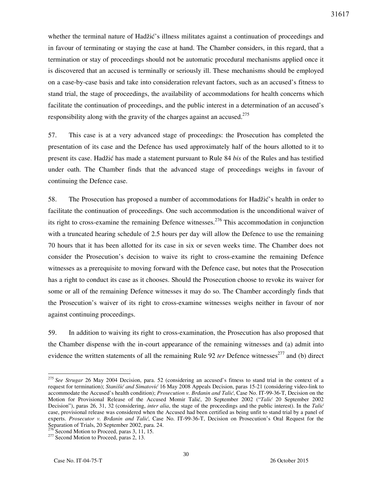whether the terminal nature of Hadžić's illness militates against a continuation of proceedings and in favour of terminating or staying the case at hand. The Chamber considers, in this regard, that a termination or stay of proceedings should not be automatic procedural mechanisms applied once it is discovered that an accused is terminally or seriously ill. These mechanisms should be employed on a case-by-case basis and take into consideration relevant factors, such as an accused's fitness to stand trial, the stage of proceedings, the availability of accommodations for health concerns which facilitate the continuation of proceedings, and the public interest in a determination of an accused's responsibility along with the gravity of the charges against an accused.<sup>275</sup>

57. This case is at a very advanced stage of proceedings: the Prosecution has completed the presentation of its case and the Defence has used approximately half of the hours allotted to it to present its case. Hadžić has made a statement pursuant to Rule 84 *bis* of the Rules and has testified under oath. The Chamber finds that the advanced stage of proceedings weighs in favour of continuing the Defence case.

58. The Prosecution has proposed a number of accommodations for Hadžić's health in order to facilitate the continuation of proceedings. One such accommodation is the unconditional waiver of its right to cross-examine the remaining Defence witnesses.<sup>276</sup> This accommodation in conjunction with a truncated hearing schedule of 2.5 hours per day will allow the Defence to use the remaining 70 hours that it has been allotted for its case in six or seven weeks time. The Chamber does not consider the Prosecution's decision to waive its right to cross-examine the remaining Defence witnesses as a prerequisite to moving forward with the Defence case, but notes that the Prosecution has a right to conduct its case as it chooses. Should the Prosecution choose to revoke its waiver for some or all of the remaining Defence witnesses it may do so. The Chamber accordingly finds that the Prosecution's waiver of its right to cross-examine witnesses weighs neither in favour of nor against continuing proceedings.

59. In addition to waiving its right to cross-examination, the Prosecution has also proposed that the Chamber dispense with the in-court appearance of the remaining witnesses and (a) admit into evidence the written statements of all the remaining Rule 92 *ter* Defence witnesses<sup>277</sup> and (b) direct

<sup>275</sup> *See Strugar* 26 May 2004 Decision, para. 52 (considering an accused's fitness to stand trial in the context of a request for termination); *Stanišić and Simatović* 16 May 2008 Appeals Decision, paras 15-21 (considering video-link to accommodate the Accused's health condition); *Prosecution v. Brdanin and Talić*, Case No. IT-99-36-T, Decision on the Motion for Provisional Release of the Accused Momir Talić, 20 September 2002 ("Talić 20 September 2002 Decision"), paras 26, 31, 32 (considering, *inter alia*, the stage of the proceedings and the public interest). In the *Talić* case, provisional release was considered when the Accused had been certified as being unfit to stand trial by a panel of experts. *Prosecutor v. Brdanin and Talić*, Case No. IT-99-36-T, Decision on Prosecution's Oral Request for the Separation of Trials, 20 September 2002, para. 24.

 $276$  Second Motion to Proceed, paras 3, 11, 15.

<sup>&</sup>lt;sup>277</sup> Second Motion to Proceed, paras 2, 13.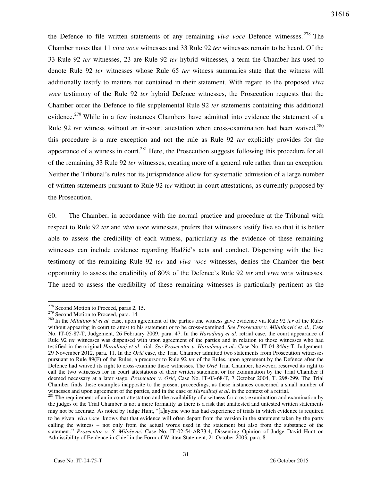the Defence to file written statements of any remaining *viva voce* Defence witnesses. <sup>278</sup> The Chamber notes that 11 *viva voce* witnesses and 33 Rule 92 *ter* witnesses remain to be heard. Of the 33 Rule 92 *ter* witnesses, 23 are Rule 92 *ter* hybrid witnesses, a term the Chamber has used to denote Rule 92 *ter* witnesses whose Rule 65 *ter* witness summaries state that the witness will additionally testify to matters not contained in their statement. With regard to the proposed *viva voce* testimony of the Rule 92 *ter* hybrid Defence witnesses, the Prosecution requests that the Chamber order the Defence to file supplemental Rule 92 *ter* statements containing this additional evidence.<sup>279</sup> While in a few instances Chambers have admitted into evidence the statement of a Rule 92 *ter* witness without an in-court attestation when cross-examination had been waived,<sup>280</sup> this procedure is a rare exception and not the rule as Rule 92 *ter* explicitly provides for the appearance of a witness in court.<sup>281</sup> Here, the Prosecution suggests following this procedure for all of the remaining 33 Rule 92 *ter* witnesses, creating more of a general rule rather than an exception. Neither the Tribunal's rules nor its jurisprudence allow for systematic admission of a large number of written statements pursuant to Rule 92 *ter* without in-court attestations, as currently proposed by the Prosecution.

60. The Chamber, in accordance with the normal practice and procedure at the Tribunal with respect to Rule 92 *ter* and *viva voce* witnesses, prefers that witnesses testify live so that it is better able to assess the credibility of each witness, particularly as the evidence of these remaining witnesses can include evidence regarding Hadžić's acts and conduct. Dispensing with the live testimony of the remaining Rule 92 *ter* and *viva voce* witnesses, denies the Chamber the best opportunity to assess the credibility of 80% of the Defence's Rule 92 *ter* and *viva voce* witnesses. The need to assess the credibility of these remaining witnesses is particularly pertinent as the

<sup>&</sup>lt;sup>278</sup> Second Motion to Proceed, paras 2, 15.

<sup>&</sup>lt;sup>279</sup> Second Motion to Proceed, para. 14.

<sup>&</sup>lt;sup>280</sup> In the *Milutinović et al.* case, upon agreement of the parties one witness gave evidence via Rule 92 *ter* of the Rules without appearing in court to attest to his statement or to be cross-examined. See Prosecutor v. Milutinović et al., Case No. IT-05-87-T, Judgement, 26 February 2009, para. 47. In the *Haradinaj et al*. retrial case, the court appearance of Rule 92 *ter* witnesses was dispensed with upon agreement of the parties and in relation to those witnesses who had testified in the original *Haradinaj et al*. trial. *See Prosecutor v. Haradinaj et al*., Case No. IT-04-84*bis*-T, Judgement, 29 November 2012, para. 11. In the *Orić* case, the Trial Chamber admitted two statements from Prosecution witnesses pursuant to Rule 89(F) of the Rules, a precursor to Rule 92 *ter* of the Rules, upon agreement by the Defence after the Defence had waived its right to cross-examine these witnesses. The *Orić* Trial Chamber, however, reserved its right to call the two witnesses for in court attestations of their written statement or for examination by the Trial Chamber if deemed necessary at a later stage. *Prosecutor v. Orić*, Case No. IT-03-68-T, 7 October 2004, T. 298-299. The Trial Chamber finds these examples inapposite to the present proceedings, as these instances concerned a small number of witnesses and upon agreement of the parties, and in the case of *Haradinaj et al*. in the context of a retrial.

<sup>&</sup>lt;sup>281</sup> The requirement of an in court attestation and the availability of a witness for cross-examination and examination by the judges of the Trial Chamber is not a mere formality as there is a risk that unattested and untested written statements may not be accurate. As noted by Judge Hunt, "[a]nyone who has had experience of trials in which evidence is required to be given *viva voce* knows that that evidence will often depart from the version in the statement taken by the party calling the witness – not only from the actual words used in the statement but also from the substance of the statement." Prosecutor v. S. Milošević, Case No. IT-02-54-AR73.4, Dissenting Opinion of Judge David Hunt on Admissibility of Evidence in Chief in the Form of Written Statement, 21 October 2003, para. 8.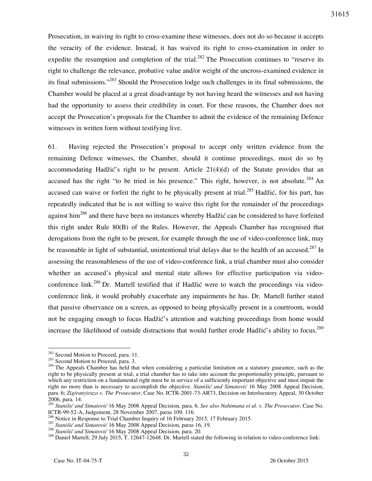Prosecution, in waiving its right to cross-examine these witnesses, does not do so because it accepts the veracity of the evidence. Instead, it has waived its right to cross-examination in order to expedite the resumption and completion of the trial.<sup>282</sup> The Prosecution continues to "reserve its right to challenge the relevance, probative value and/or weight of the uncross-examined evidence in its final submissions."<sup>283</sup> Should the Prosecution lodge such challenges in its final submissions, the Chamber would be placed at a great disadvantage by not having heard the witnesses and not having had the opportunity to assess their credibility in court. For these reasons, the Chamber does not accept the Prosecution's proposals for the Chamber to admit the evidence of the remaining Defence witnesses in written form without testifying live.

61. Having rejected the Prosecution's proposal to accept only written evidence from the remaining Defence witnesses, the Chamber, should it continue proceedings, must do so by accommodating Hadžić's right to be present. Article  $21(4)(d)$  of the Statute provides that an accused has the right "to be tried in his presence." This right, however, is not absolute.  $284$  An accused can waive or forfeit the right to be physically present at trial.<sup>285</sup> Hadžić, for his part, has repeatedly indicated that he is not willing to waive this right for the remainder of the proceedings against him<sup>286</sup> and there have been no instances whereby Hadžić can be considered to have forfeited this right under Rule 80(B) of the Rules. However, the Appeals Chamber has recognised that derogations from the right to be present, for example through the use of video-conference link, may be reasonable in light of substantial, unintentional trial delays due to the health of an accused.<sup>287</sup> In assessing the reasonableness of the use of video-conference link, a trial chamber must also consider whether an accused's physical and mental state allows for effective participation via videoconference link.<sup>288</sup> Dr. Martell testified that if Hadžić were to watch the proceedings via videoconference link, it would probably exacerbate any impairments he has. Dr. Martell further stated that passive observance on a screen, as opposed to being physically present in a courtroom, would not be engaging enough to focus Hadžić's attention and watching proceedings from home would increase the likelihood of outside distractions that would further erode Hadžić's ability to focus.<sup>289</sup>

<sup>&</sup>lt;sup>282</sup> Second Motion to Proceed, para. 11.

<sup>&</sup>lt;sup>283</sup> Second Motion to Proceed, para. 3.

<sup>&</sup>lt;sup>284</sup> The Appeals Chamber has held that when considering a particular limitation on a statutory guarantee, such as the right to be physically present at trial, a trial chamber has to take into account the proportionality principle, pursuant to which any restriction on a fundamental right must be in service of a sufficiently important objective and must impair the right no more than is necessary to accomplish the objective. *Stanišić and Simatović* 16 May 2008 Appeal Decision, para. 6; *Zigiranyirazo v. The Prosecutor*, Case No. ICTR-2001-73-AR73, Decision on Interlocutory Appeal, 30 October 2006, para. 14.

<sup>285</sup> *Stanišić and Simatović* 16 May 2008 Appeal Decision, para. 6. *See also Nahimana et al*. *v. The Prosecutor*, Case No. ICTR-99-52-A, Judgement, 28 November 2007, paras 109, 116.

<sup>&</sup>lt;sup>86</sup> Notice in Response to Trial Chamber Inquiry of 16 February 2015, 17 February 2015.

<sup>287</sup> *Stanišić and Simatović* 16 May 2008 Appeal Decision, paras 16, 19.

<sup>288</sup> *Stanišić and Simatović* 16 May 2008 Appeal Decision, para. 20.

<sup>&</sup>lt;sup>289</sup> Daniel Martell, 29 July 2015, T. 12647-12648. Dr. Martell stated the following in relation to video-conference link: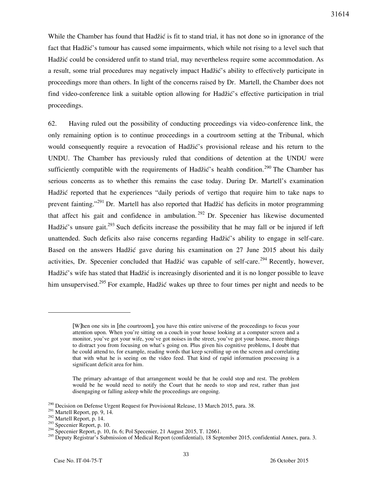While the Chamber has found that Hadžić is fit to stand trial, it has not done so in ignorance of the fact that Hadžić's tumour has caused some impairments, which while not rising to a level such that Hadžić could be considered unfit to stand trial, may nevertheless require some accommodation. As a result, some trial procedures may negatively impact Hadžić's ability to effectively participate in proceedings more than others. In light of the concerns raised by Dr. Martell, the Chamber does not find video-conference link a suitable option allowing for Hadžić's effective participation in trial proceedings.

62. Having ruled out the possibility of conducting proceedings via video-conference link, the only remaining option is to continue proceedings in a courtroom setting at the Tribunal, which would consequently require a revocation of Hadžić's provisional release and his return to the UNDU. The Chamber has previously ruled that conditions of detention at the UNDU were sufficiently compatible with the requirements of Hadžić's health condition.<sup>290</sup> The Chamber has serious concerns as to whether this remains the case today. During Dr. Martell's examination Hadžić reported that he experiences "daily periods of vertigo that require him to take naps to prevent fainting."<sup>291</sup> Dr. Martell has also reported that Hadžić has deficits in motor programming that affect his gait and confidence in ambulation.  $292$  Dr. Specenier has likewise documented Hadžić's unsure gait.<sup>293</sup> Such deficits increase the possibility that he may fall or be injured if left unattended. Such deficits also raise concerns regarding Hadžić's ability to engage in self-care. Based on the answers Hadžić gave during his examination on 27 June 2015 about his daily activities, Dr. Specenier concluded that Hadžić was capable of self-care.<sup>294</sup> Recently, however, Hadžić's wife has stated that Hadžić is increasingly disoriented and it is no longer possible to leave him unsupervised.<sup>295</sup> For example, Hadžić wakes up three to four times per night and needs to be

<sup>[</sup>W]hen one sits in [the courtroom], you have this entire universe of the proceedings to focus your attention upon. When you're sitting on a couch in your house looking at a computer screen and a monitor, you've got your wife, you've got noises in the street, you've got your house, more things to distract you from focusing on what's going on. Plus given his cognitive problems, I doubt that he could attend to, for example, reading words that keep scrolling up on the screen and correlating that with what he is seeing on the video feed. That kind of rapid information processing is a significant deficit area for him.

The primary advantage of that arrangement would be that he could stop and rest. The problem would be he would need to notify the Court that he needs to stop and rest, rather than just disengaging or falling asleep while the proceedings are ongoing.

<sup>&</sup>lt;sup>290</sup> Decision on Defense Urgent Request for Provisional Release, 13 March 2015, para. 38.

<sup>&</sup>lt;sup>291</sup> Martell Report, pp. 9, 14.

 $^{292}$  Martell Report, p. 14.

 $^{293}$  Specenier Report, p. 10.

 $294$  Specenier Report, p. 10, fn. 6; Pol Specenier, 21 August 2015, T. 12661.

<sup>&</sup>lt;sup>295</sup> Deputy Registrar's Submission of Medical Report (confidential), 18 September 2015, confidential Annex, para. 3.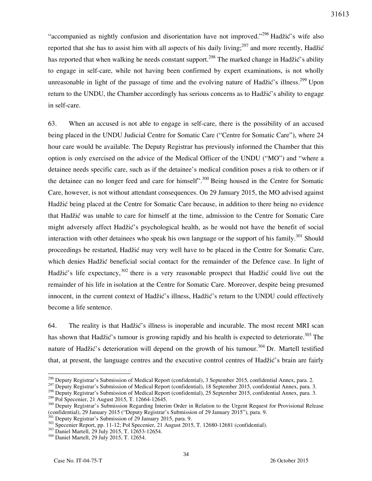"accompanied as nightly confusion and disorientation have not improved."<sup>296</sup> Hadžić's wife also reported that she has to assist him with all aspects of his daily living;<sup>297</sup> and more recently, Hadžić has reported that when walking he needs constant support.<sup>298</sup> The marked change in Hadžić's ability to engage in self-care, while not having been confirmed by expert examinations, is not wholly unreasonable in light of the passage of time and the evolving nature of Hadžić's illness.<sup>299</sup> Upon return to the UNDU, the Chamber accordingly has serious concerns as to Hadžić's ability to engage in self-care.

63. When an accused is not able to engage in self-care, there is the possibility of an accused being placed in the UNDU Judicial Centre for Somatic Care ("Centre for Somatic Care"), where 24 hour care would be available. The Deputy Registrar has previously informed the Chamber that this option is only exercised on the advice of the Medical Officer of the UNDU ("MO") and "where a detainee needs specific care, such as if the detainee's medical condition poses a risk to others or if the detainee can no longer feed and care for himself".<sup>300</sup> Being housed in the Centre for Somatic Care, however, is not without attendant consequences. On 29 January 2015, the MO advised against Hadžić being placed at the Centre for Somatic Care because, in addition to there being no evidence that Hadžić was unable to care for himself at the time, admission to the Centre for Somatic Care might adversely affect Hadžić's psychological health, as he would not have the benefit of social interaction with other detainees who speak his own language or the support of his family.<sup>301</sup> Should proceedings be restarted, Hadžić may very well have to be placed in the Centre for Somatic Care, which denies Hadžić beneficial social contact for the remainder of the Defence case. In light of Hadžić's life expectancy,  $302$  there is a very reasonable prospect that Hadžić could live out the remainder of his life in isolation at the Centre for Somatic Care. Moreover, despite being presumed innocent, in the current context of Hadžić's illness, Hadžić's return to the UNDU could effectively become a life sentence.

64. The reality is that Hadžić's illness is inoperable and incurable. The most recent MRI scan has shown that Hadžić's tumour is growing rapidly and his health is expected to deteriorate.<sup>303</sup> The nature of Hadžić's deterioration will depend on the growth of his tumour.<sup>304</sup> Dr. Martell testified that, at present, the language centres and the executive control centres of Hadžić's brain are fairly

 $\overline{a}$  $296$  Deputy Registrar's Submission of Medical Report (confidential), 3 September 2015, confidential Annex, para. 2.

 $297$  Deputy Registrar's Submission of Medical Report (confidential), 18 September 2015, confidential Annex, para. 3.

<sup>298</sup> Deputy Registrar's Submission of Medical Report (confidential), 25 September 2015, confidential Annex, para. 3.

<sup>&</sup>lt;sup>299</sup> Pol Specenier, 21 August 2015, T. 12664-12645.

<sup>&</sup>lt;sup>300</sup> Deputy Registrar's Submission Regarding Interim Order in Relation to the Urgent Request for Provisional Release (confidential), 29 January 2015 ("Deputy Registrar's Submission of 29 January 2015"), para. 9.

<sup>&</sup>lt;sup>1</sup> Deputy Registrar's Submission of 29 January 2015, para. 9.

<sup>&</sup>lt;sup>302</sup> Specenier Report, pp. 11-12; Pol Specenier, 21 August 2015, T. 12680-12681 (confidential).

<sup>&</sup>lt;sup>303</sup> Daniel Martell, 29 July 2015, T. 12653-12654.

<sup>304</sup> Daniel Martell, 29 July 2015, T. 12654.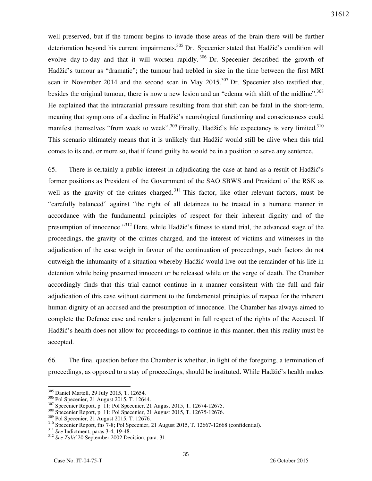well preserved, but if the tumour begins to invade those areas of the brain there will be further deterioration beyond his current impairments.<sup>305</sup> Dr. Specenier stated that Hadžić's condition will evolve day-to-day and that it will worsen rapidly.  $306$  Dr. Specenier described the growth of Hadžić's tumour as "dramatic"; the tumour had trebled in size in the time between the first MRI scan in November 2014 and the second scan in May  $2015$ .<sup>307</sup> Dr. Specenier also testified that, besides the original tumour, there is now a new lesion and an "edema with shift of the midline".<sup>308</sup> He explained that the intracranial pressure resulting from that shift can be fatal in the short-term, meaning that symptoms of a decline in Hadžić's neurological functioning and consciousness could manifest themselves "from week to week".<sup>309</sup> Finally, Hadžić's life expectancy is very limited.<sup>310</sup> This scenario ultimately means that it is unlikely that Hadžić would still be alive when this trial comes to its end, or more so, that if found guilty he would be in a position to serve any sentence.

65. There is certainly a public interest in adjudicating the case at hand as a result of Hadžić's former positions as President of the Government of the SAO SBWS and President of the RSK as well as the gravity of the crimes charged.<sup>311</sup> This factor, like other relevant factors, must be "carefully balanced" against "the right of all detainees to be treated in a humane manner in accordance with the fundamental principles of respect for their inherent dignity and of the presumption of innocence."<sup>312</sup> Here, while Hadžić's fitness to stand trial, the advanced stage of the proceedings, the gravity of the crimes charged, and the interest of victims and witnesses in the adjudication of the case weigh in favour of the continuation of proceedings, such factors do not outweigh the inhumanity of a situation whereby Hadžić would live out the remainder of his life in detention while being presumed innocent or be released while on the verge of death. The Chamber accordingly finds that this trial cannot continue in a manner consistent with the full and fair adjudication of this case without detriment to the fundamental principles of respect for the inherent human dignity of an accused and the presumption of innocence. The Chamber has always aimed to complete the Defence case and render a judgement in full respect of the rights of the Accused. If Hadžić's health does not allow for proceedings to continue in this manner, then this reality must be accepted.

66. The final question before the Chamber is whether, in light of the foregoing, a termination of proceedings, as opposed to a stay of proceedings, should be instituted. While Hadžić's health makes

<sup>305</sup> Daniel Martell, 29 July 2015, T. 12654.

<sup>306</sup> Pol Specenier, 21 August 2015, T. 12644.

<sup>&</sup>lt;sup>307</sup> Specenier Report, p. 11; Pol Specenier, 21 August 2015, T. 12674-12675.

<sup>&</sup>lt;sup>308</sup> Specenier Report, p. 11; Pol Specenier, 21 August 2015, T. 12675-12676.

 $309$  Pol Specenier, 21 August 2015, T. 12676.

<sup>310</sup> Specenier Report, fns 7-8; Pol Specenier, 21 August 2015, T. 12667-12668 (confidential).

<sup>311</sup> *See* Indictment, paras 3-4, 19-48.

<sup>&</sup>lt;sup>312</sup> See Talić 20 September 2002 Decision, para. 31.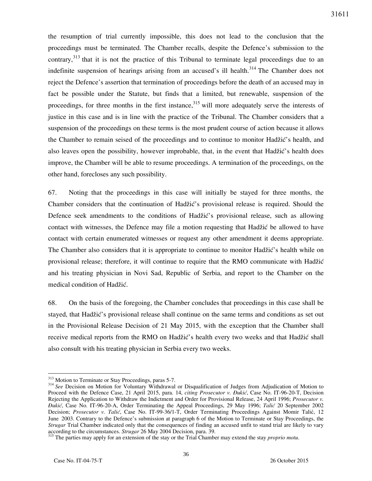the resumption of trial currently impossible, this does not lead to the conclusion that the proceedings must be terminated. The Chamber recalls, despite the Defence's submission to the contrary,  $313$  that it is not the practice of this Tribunal to terminate legal proceedings due to an indefinite suspension of hearings arising from an accused's ill health.<sup>314</sup> The Chamber does not reject the Defence's assertion that termination of proceedings before the death of an accused may in fact be possible under the Statute, but finds that a limited, but renewable, suspension of the proceedings, for three months in the first instance, <sup>315</sup> will more adequately serve the interests of justice in this case and is in line with the practice of the Tribunal. The Chamber considers that a suspension of the proceedings on these terms is the most prudent course of action because it allows the Chamber to remain seised of the proceedings and to continue to monitor Hadžić's health, and also leaves open the possibility, however improbable, that, in the event that Hadžić's health does improve, the Chamber will be able to resume proceedings. A termination of the proceedings, on the other hand, forecloses any such possibility.

67. Noting that the proceedings in this case will initially be stayed for three months, the Chamber considers that the continuation of Hadžić's provisional release is required. Should the Defence seek amendments to the conditions of Hadžić's provisional release, such as allowing contact with witnesses, the Defence may file a motion requesting that Hadžić be allowed to have contact with certain enumerated witnesses or request any other amendment it deems appropriate. The Chamber also considers that it is appropriate to continue to monitor Hadžić's health while on provisional release; therefore, it will continue to require that the RMO communicate with Hadžić and his treating physician in Novi Sad, Republic of Serbia, and report to the Chamber on the medical condition of Hadžić.

68. On the basis of the foregoing, the Chamber concludes that proceedings in this case shall be stayed, that Hadžić's provisional release shall continue on the same terms and conditions as set out in the Provisional Release Decision of 21 May 2015, with the exception that the Chamber shall receive medical reports from the RMO on Hadžić's health every two weeks and that Hadžić shall also consult with his treating physician in Serbia every two weeks.

<sup>&</sup>lt;sup>313</sup> Motion to Terminate or Stay Proceedings, paras 5-7.

<sup>&</sup>lt;sup>314</sup> See Decision on Motion for Voluntary Withdrawal or Disqualification of Judges from Adjudication of Motion to Proceed with the Defence Case, 21 April 2015, para. 14, *citing Prosecutor v. Đukić*, Case No. IT-96-20-T, Decision Rejecting the Application to Withdraw the Indictment and Order for Provisional Release, 24 April 1996; *Prosecutor v. Đukić*, Case No. IT-96-20-A, Order Terminating the Appeal Proceedings, 29 May 1996; *Talić* 20 September 2002 Decision; *Prosecutor v. Talić*, Case No. IT-99-36/1-T, Order Terminating Proceedings Against Momir Talić, 12 June 2003. Contrary to the Defence's submission at paragraph 6 of the Motion to Terminate or Stay Proceedings, the *Strugar* Trial Chamber indicated only that the consequences of finding an accused unfit to stand trial are likely to vary according to the circumstances. *Strugar* 26 May 2004 Decision, para. 39.

<sup>&</sup>lt;sup>315</sup> The parties may apply for an extension of the stay or the Trial Chamber may extend the stay *proprio motu*.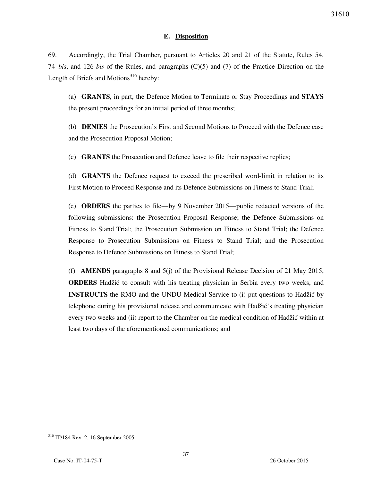## **E. Disposition**

69. Accordingly, the Trial Chamber, pursuant to Articles 20 and 21 of the Statute, Rules 54, 74 *bis*, and 126 *bis* of the Rules, and paragraphs (C)(5) and (7) of the Practice Direction on the Length of Briefs and Motions $316$  hereby:

(a) **GRANTS**, in part, the Defence Motion to Terminate or Stay Proceedings and **STAYS** the present proceedings for an initial period of three months;

(b) **DENIES** the Prosecution's First and Second Motions to Proceed with the Defence case and the Prosecution Proposal Motion;

(c) **GRANTS** the Prosecution and Defence leave to file their respective replies;

(d) **GRANTS** the Defence request to exceed the prescribed word-limit in relation to its First Motion to Proceed Response and its Defence Submissions on Fitness to Stand Trial;

(e) **ORDERS** the parties to file—by 9 November 2015—public redacted versions of the following submissions: the Prosecution Proposal Response; the Defence Submissions on Fitness to Stand Trial; the Prosecution Submission on Fitness to Stand Trial; the Defence Response to Prosecution Submissions on Fitness to Stand Trial; and the Prosecution Response to Defence Submissions on Fitness to Stand Trial;

(f) **AMENDS** paragraphs 8 and 5(j) of the Provisional Release Decision of 21 May 2015, **ORDERS** Hadžić to consult with his treating physician in Serbia every two weeks, and **INSTRUCTS** the RMO and the UNDU Medical Service to (i) put questions to Hadžić by telephone during his provisional release and communicate with Hadžić's treating physician every two weeks and (ii) report to the Chamber on the medical condition of Hadžić within at least two days of the aforementioned communications; and

 $\overline{a}$ <sup>316</sup> IT/184 Rev. 2, 16 September 2005.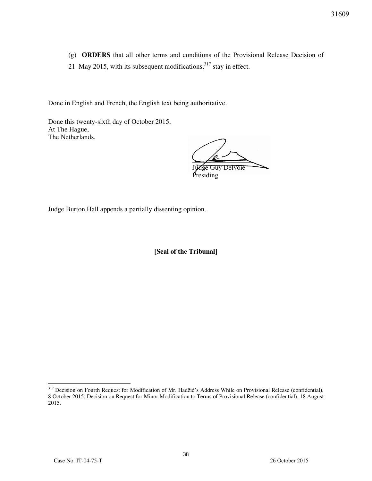- (g) **ORDERS** that all other terms and conditions of the Provisional Release Decision of
- 21 May 2015, with its subsequent modifications,  $317$  stay in effect.

Done in English and French, the English text being authoritative.

Done this twenty-sixth day of October 2015, At The Hague, The Netherlands.

 $\sqrt{2}$ 

Guy Delvoie Presiding

Judge Burton Hall appends a partially dissenting opinion.

[Seal of the Tribunal]

<sup>&</sup>lt;sup>317</sup> Decision on Fourth Request for Modification of Mr. Hadžić's Address While on Provisional Release (confidential), 8 October 2015; Decision on Request for Minor Modification to Terms of Provisional Release (confidential), 18 August 2015.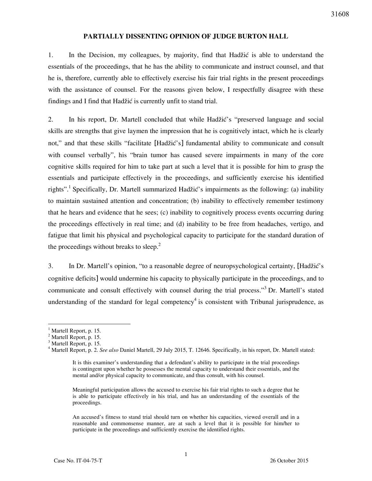# **PARTIALLY DISSENTING OPINION OF JUDGE BURTON HALL**

1. In the Decision, my colleagues, by majority, find that Hadžić is able to understand the essentials of the proceedings, that he has the ability to communicate and instruct counsel, and that he is, therefore, currently able to effectively exercise his fair trial rights in the present proceedings with the assistance of counsel. For the reasons given below, I respectfully disagree with these findings and I find that Hadžić is currently unfit to stand trial.

2. In his report, Dr. Martell concluded that while Hadžić's "preserved language and social skills are strengths that give laymen the impression that he is cognitively intact, which he is clearly not," and that these skills "facilitate [Hadžić's] fundamental ability to communicate and consult with counsel verbally", his "brain tumor has caused severe impairments in many of the core cognitive skills required for him to take part at such a level that it is possible for him to grasp the essentials and participate effectively in the proceedings, and sufficiently exercise his identified rights".<sup>1</sup> Specifically, Dr. Martell summarized Hadžić's impairments as the following: (a) inability to maintain sustained attention and concentration; (b) inability to effectively remember testimony that he hears and evidence that he sees; (c) inability to cognitively process events occurring during the proceedings effectively in real time; and (d) inability to be free from headaches, vertigo, and fatigue that limit his physical and psychological capacity to participate for the standard duration of the proceedings without breaks to sleep.<sup>2</sup>

3. In Dr. Martell's opinion, "to a reasonable degree of neuropsychological certainty, [Hadžić's cognitive deficits] would undermine his capacity to physically participate in the proceedings, and to communicate and consult effectively with counsel during the trial process."<sup>3</sup> Dr. Martell's stated understanding of the standard for legal competency<sup>4</sup> is consistent with Tribunal jurisprudence, as

Meaningful participation allows the accused to exercise his fair trial rights to such a degree that he is able to participate effectively in his trial, and has an understanding of the essentials of the proceedings.

An accused's fitness to stand trial should turn on whether his capacities, viewed overall and in a reasonable and commonsense manner, are at such a level that it is possible for him/her to participate in the proceedings and sufficiently exercise the identified rights.

l <sup>1</sup> Martell Report, p. 15.

 $<sup>2</sup>$  Martell Report, p. 15.</sup>

<sup>&</sup>lt;sup>3</sup> Martell Report, p. 15.

<sup>4</sup> Martell Report, p. 2. *See also* Daniel Martell, 29 July 2015, T. 12646. Specifically, in his report, Dr. Martell stated:

It is this examiner's understanding that a defendant's ability to participate in the trial proceedings is contingent upon whether he possesses the mental capacity to understand their essentials, and the mental and/or physical capacity to communicate, and thus consult, with his counsel.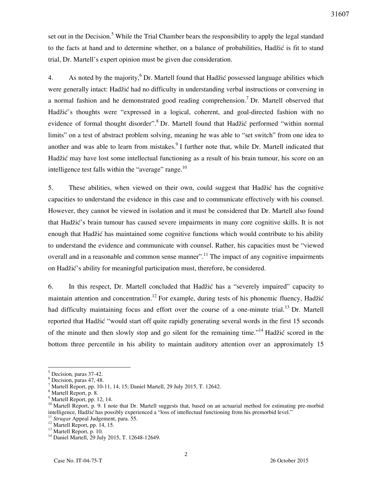set out in the Decision.<sup>5</sup> While the Trial Chamber bears the responsibility to apply the legal standard to the facts at hand and to determine whether, on a balance of probabilities, Hadžić is fit to stand trial, Dr. Martell's expert opinion must be given due consideration.

4. As noted by the majority,  $6$  Dr. Martell found that Hadžić possessed language abilities which were generally intact: Hadžić had no difficulty in understanding verbal instructions or conversing in a normal fashion and he demonstrated good reading comprehension.<sup>7</sup> Dr. Martell observed that Hadžić's thoughts were "expressed in a logical, coherent, and goal-directed fashion with no evidence of formal thought disorder".<sup>8</sup> Dr. Martell found that Hadžić performed "within normal limits" on a test of abstract problem solving, meaning he was able to "set switch" from one idea to another and was able to learn from mistakes.<sup>9</sup> I further note that, while Dr. Martell indicated that Hadžić may have lost some intellectual functioning as a result of his brain tumour, his score on an intelligence test falls within the "average" range. $^{10}$ 

5. These abilities, when viewed on their own, could suggest that Hadžić has the cognitive capacities to understand the evidence in this case and to communicate effectively with his counsel. However, they cannot be viewed in isolation and it must be considered that Dr. Martell also found that Hadžić's brain tumour has caused severe impairments in many core cognitive skills. It is not enough that Hadžić has maintained some cognitive functions which would contribute to his ability to understand the evidence and communicate with counsel. Rather, his capacities must be "viewed overall and in a reasonable and common sense manner".<sup>11</sup> The impact of any cognitive impairments on Hadžić's ability for meaningful participation must, therefore, be considered.

6. In this respect, Dr. Martell concluded that Hadžić has a "severely impaired" capacity to maintain attention and concentration.<sup>12</sup> For example, during tests of his phonemic fluency, Hadžić had difficulty maintaining focus and effort over the course of a one-minute trial.<sup>13</sup> Dr. Martell reported that Hadžić "would start off quite rapidly generating several words in the first 15 seconds of the minute and then slowly stop and go silent for the remaining time."<sup>14</sup> Hadžić scored in the bottom three percentile in his ability to maintain auditory attention over an approximately 15

<sup>5</sup> Decision*,* paras 37-42.

<sup>6</sup> Decision, paras 47, 48.

<sup>7</sup> Martell Report, pp. 10-11, 14, 15; Daniel Martell, 29 July 2015, T. 12642.

<sup>8</sup> Martell Report, p. 8.

<sup>9</sup> Martell Report, pp. 12, 14.

<sup>&</sup>lt;sup>10</sup> Martell Report, p. 9. I note that Dr. Martell suggests that, based on an actuarial method for estimating pre-morbid intelligence, Hadžić has possibly experienced a "loss of intellectual functioning from his premorbid level." <sup>11</sup> Strugar Appeal Judgement, para. 55.

 $12$  Martell Report, pp. 14, 15.

<sup>&</sup>lt;sup>13</sup> Martell Report, p. 10.

<sup>14</sup> Daniel Martell, 29 July 2015, T. 12648-12649.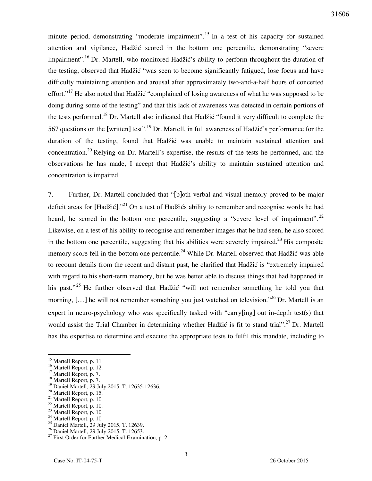minute period, demonstrating "moderate impairment".<sup>15</sup> In a test of his capacity for sustained attention and vigilance, Hadžić scored in the bottom one percentile, demonstrating "severe impairment".<sup>16</sup> Dr. Martell, who monitored Hadžić's ability to perform throughout the duration of the testing, observed that Hadžić "was seen to become significantly fatigued, lose focus and have difficulty maintaining attention and arousal after approximately two-and-a-half hours of concerted effort."<sup>17</sup> He also noted that Hadžić "complained of losing awareness of what he was supposed to be doing during some of the testing" and that this lack of awareness was detected in certain portions of the tests performed.<sup>18</sup> Dr. Martell also indicated that Hadžić "found it very difficult to complete the 567 questions on the [written] test".<sup>19</sup> Dr. Martell, in full awareness of Hadžić's performance for the duration of the testing, found that Hadžić was unable to maintain sustained attention and concentration.<sup>20</sup> Relying on Dr. Martell's expertise, the results of the tests he performed, and the observations he has made, I accept that Hadžić's ability to maintain sustained attention and concentration is impaired.

7. Further, Dr. Martell concluded that "[b]oth verbal and visual memory proved to be major deficit areas for [Hadžić]."<sup>21</sup> On a test of Hadžićs ability to remember and recognise words he had heard, he scored in the bottom one percentile, suggesting a "severe level of impairment".  $^{22}$ Likewise, on a test of his ability to recognise and remember images that he had seen, he also scored in the bottom one percentile, suggesting that his abilities were severely impaired.<sup>23</sup> His composite memory score fell in the bottom one percentile.<sup>24</sup> While Dr. Martell observed that Hadžić was able to recount details from the recent and distant past, he clarified that Hadžić is "extremely impaired with regard to his short-term memory, but he was better able to discuss things that had happened in his past."<sup>25</sup> He further observed that Hadžić "will not remember something he told you that morning, [...] he will not remember something you just watched on television."<sup>26</sup> Dr. Martell is an expert in neuro-psychology who was specifically tasked with "carry[ing] out in-depth test(s) that would assist the Trial Chamber in determining whether Hadžić is fit to stand trial".<sup>27</sup> Dr. Martell has the expertise to determine and execute the appropriate tests to fulfil this mandate, including to

- $^{20}$  Martell Report, p. 15.<br> $^{21}$  Martell Report, p. 10.
- Martell Report, p. 10.
- $^{22}$  Martell Report, p. 10.<br> $^{23}$  Martell Report, p. 10.
- Martell Report, p. 10.

- <sup>25</sup> Daniel Martell, 29 July 2015, T. 12639.
- <sup>26</sup> Daniel Martell, 29 July 2015, T. 12653.

<sup>&</sup>lt;sup>15</sup> Martell Report, p. 11.

<sup>&</sup>lt;sup>16</sup> Martell Report, p. 12.

<sup>&</sup>lt;sup>17</sup> Martell Report, p. 7.

<sup>&</sup>lt;sup>18</sup> Martell Report, p. 7.

<sup>19</sup> Daniel Martell, 29 July 2015, T. 12635-12636.

<sup>&</sup>lt;sup>24</sup> Martell Report, p. 10.

 $27$  First Order for Further Medical Examination, p. 2.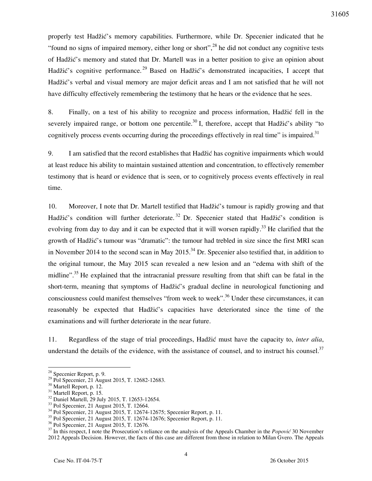properly test Hadžić's memory capabilities. Furthermore, while Dr. Specenier indicated that he "found no signs of impaired memory, either long or short",<sup>28</sup> he did not conduct any cognitive tests of Hadžić's memory and stated that Dr. Martell was in a better position to give an opinion about Hadžić's cognitive performance.<sup>29</sup> Based on Hadžić's demonstrated incapacities, I accept that Hadžić's verbal and visual memory are major deficit areas and I am not satisfied that he will not have difficulty effectively remembering the testimony that he hears or the evidence that he sees.

8. Finally, on a test of his ability to recognize and process information, Hadžić fell in the severely impaired range, or bottom one percentile.<sup>30</sup> I, therefore, accept that Hadžić's ability "to cognitively process events occurring during the proceedings effectively in real time" is impaired.<sup>31</sup>

9. I am satisfied that the record establishes that Hadžić has cognitive impairments which would at least reduce his ability to maintain sustained attention and concentration, to effectively remember testimony that is heard or evidence that is seen, or to cognitively process events effectively in real time.

10. Moreover, I note that Dr. Martell testified that Hadžić's tumour is rapidly growing and that Hadžić's condition will further deteriorate.<sup>32</sup> Dr. Specenier stated that Hadžić's condition is evolving from day to day and it can be expected that it will worsen rapidly.<sup>33</sup> He clarified that the growth of Hadžić's tumour was "dramatic": the tumour had trebled in size since the first MRI scan in November 2014 to the second scan in May 2015.<sup>34</sup> Dr. Specenier also testified that, in addition to the original tumour, the May 2015 scan revealed a new lesion and an "edema with shift of the midline".<sup>35</sup> He explained that the intracranial pressure resulting from that shift can be fatal in the short-term, meaning that symptoms of Hadžić's gradual decline in neurological functioning and consciousness could manifest themselves "from week to week".<sup>36</sup> Under these circumstances, it can reasonably be expected that Hadžić's capacities have deteriorated since the time of the examinations and will further deteriorate in the near future.

11. Regardless of the stage of trial proceedings, Hadžić must have the capacity to, *inter alia*, understand the details of the evidence, with the assistance of counsel, and to instruct his counsel.<sup>37</sup>

 $28$  Specenier Report, p. 9.

<sup>&</sup>lt;sup>29</sup> Pol Specenier, 21 August 2015, T. 12682-12683.

<sup>30</sup> Martell Report, p. 12.

<sup>&</sup>lt;sup>31</sup> Martell Report, p. 15.

<sup>&</sup>lt;sup>32</sup> Daniel Martell, 29 July 2015, T. 12653-12654.

<sup>33</sup> Pol Specenier, 21 August 2015, T. 12664.

<sup>34</sup> Pol Specenier, 21 August 2015, T. 12674-12675; Specenier Report, p. 11.

<sup>&</sup>lt;sup>35</sup> Pol Specenier, 21 August 2015, T. 12674-12676; Specenier Report, p. 11.

<sup>&</sup>lt;sup>36</sup> Pol Specenier, 21 August 2015, T. 12676.

<sup>37</sup> In this respect, I note the Prosecution's reliance on the analysis of the Appeals Chamber in the *Popović* 30 November 2012 Appeals Decision. However, the facts of this case are different from those in relation to Milan Gvero. The Appeals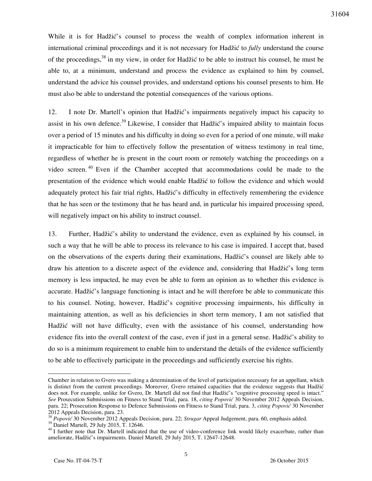While it is for Hadžić's counsel to process the wealth of complex information inherent in international criminal proceedings and it is not necessary for Hadžić to *fully* understand the course of the proceedings,  $38$  in my view, in order for Hadžić to be able to instruct his counsel, he must be able to, at a minimum, understand and process the evidence as explained to him by counsel, understand the advice his counsel provides, and understand options his counsel presents to him. He must also be able to understand the potential consequences of the various options.

12. I note Dr. Martell's opinion that Hadžić's impairments negatively impact his capacity to assist in his own defence.<sup>39</sup> Likewise, I consider that Hadžić's impaired ability to maintain focus over a period of 15 minutes and his difficulty in doing so even for a period of one minute, will make it impracticable for him to effectively follow the presentation of witness testimony in real time, regardless of whether he is present in the court room or remotely watching the proceedings on a video screen.  $40$  Even if the Chamber accepted that accommodations could be made to the presentation of the evidence which would enable Hadžić to follow the evidence and which would adequately protect his fair trial rights, Hadžić's difficulty in effectively remembering the evidence that he has seen or the testimony that he has heard and, in particular his impaired processing speed, will negatively impact on his ability to instruct counsel.

13. Further, Hadžić's ability to understand the evidence, even as explained by his counsel, in such a way that he will be able to process its relevance to his case is impaired. I accept that, based on the observations of the experts during their examinations, Hadžić's counsel are likely able to draw his attention to a discrete aspect of the evidence and, considering that Hadžić's long term memory is less impacted, he may even be able to form an opinion as to whether this evidence is accurate. Hadžić's language functioning is intact and he will therefore be able to communicate this to his counsel. Noting, however, Hadžić's cognitive processing impairments, his difficulty in maintaining attention, as well as his deficiencies in short term memory, I am not satisfied that Hadžić will not have difficulty, even with the assistance of his counsel, understanding how evidence fits into the overall context of the case, even if just in a general sense. Hadžić's ability to do so is a minimum requirement to enable him to understand the details of the evidence sufficiently to be able to effectively participate in the proceedings and sufficiently exercise his rights.

Chamber in relation to Gvero was making a determination of the level of participation necessary for an appellant, which is distinct from the current proceedings. Moreover, Gvero retained capacities that the evidence suggests that Hadžić does not. For example, unlike for Gvero, Dr. Martell did not find that Hadžić's "cognitive processing speed is intact." *See* Prosecution Submissions on Fitness to Stand Trial, para. 18, *citing Popović* 30 November 2012 Appeals Decision, para. 22; Prosecution Response to Defence Submissions on Fitness to Stand Trial, para. 3, *citing Popović* 30 November 2012 Appeals Decision, para. 23.

<sup>38</sup> *Popović* 30 November 2012 Appeals Decision, para. 22; *Strugar* Appeal Judgement, para. 60, emphasis added.

<sup>39</sup> Daniel Martell, 29 July 2015, T. 12646.

<sup>&</sup>lt;sup>40</sup> I further note that Dr. Martell indicated that the use of video-conference link would likely exacerbate, rather than ameliorate, Hadžić's impairments. Daniel Martell, 29 July 2015, T. 12647-12648.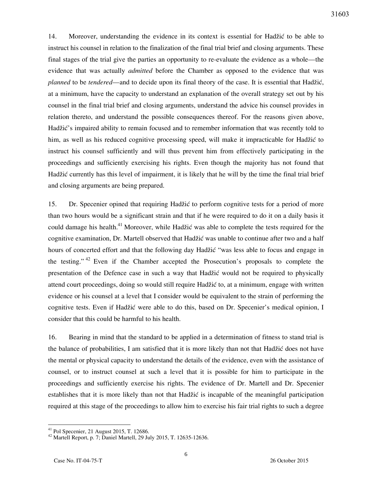14. Moreover, understanding the evidence in its context is essential for Hadžić to be able to instruct his counsel in relation to the finalization of the final trial brief and closing arguments. These final stages of the trial give the parties an opportunity to re-evaluate the evidence as a whole—the evidence that was actually *admitted* before the Chamber as opposed to the evidence that was *planned* to be *tendered*—and to decide upon its final theory of the case. It is essential that Hadžić, at a minimum, have the capacity to understand an explanation of the overall strategy set out by his counsel in the final trial brief and closing arguments, understand the advice his counsel provides in relation thereto, and understand the possible consequences thereof. For the reasons given above, Hadžić's impaired ability to remain focused and to remember information that was recently told to him, as well as his reduced cognitive processing speed, will make it impracticable for Hadžić to instruct his counsel sufficiently and will thus prevent him from effectively participating in the proceedings and sufficiently exercising his rights. Even though the majority has not found that Hadžić currently has this level of impairment, it is likely that he will by the time the final trial brief and closing arguments are being prepared.

15. Dr. Specenier opined that requiring Hadžić to perform cognitive tests for a period of more than two hours would be a significant strain and that if he were required to do it on a daily basis it could damage his health.<sup>41</sup> Moreover, while Hadžić was able to complete the tests required for the cognitive examination, Dr. Martell observed that Hadžić was unable to continue after two and a half hours of concerted effort and that the following day Hadžić "was less able to focus and engage in the testing."  $42$  Even if the Chamber accepted the Prosecution's proposals to complete the presentation of the Defence case in such a way that Hadžić would not be required to physically attend court proceedings, doing so would still require Hadžić to, at a minimum, engage with written evidence or his counsel at a level that I consider would be equivalent to the strain of performing the cognitive tests. Even if Hadžić were able to do this, based on Dr. Specenier's medical opinion, I consider that this could be harmful to his health.

16. Bearing in mind that the standard to be applied in a determination of fitness to stand trial is the balance of probabilities, I am satisfied that it is more likely than not that Hadžić does not have the mental or physical capacity to understand the details of the evidence, even with the assistance of counsel, or to instruct counsel at such a level that it is possible for him to participate in the proceedings and sufficiently exercise his rights. The evidence of Dr. Martell and Dr. Specenier establishes that it is more likely than not that Hadžić is incapable of the meaningful participation required at this stage of the proceedings to allow him to exercise his fair trial rights to such a degree

 $41$  Pol Specenier, 21 August 2015, T. 12686.

<sup>&</sup>lt;sup>42</sup> Martell Report, p. 7; Daniel Martell, 29 July 2015, T. 12635-12636.